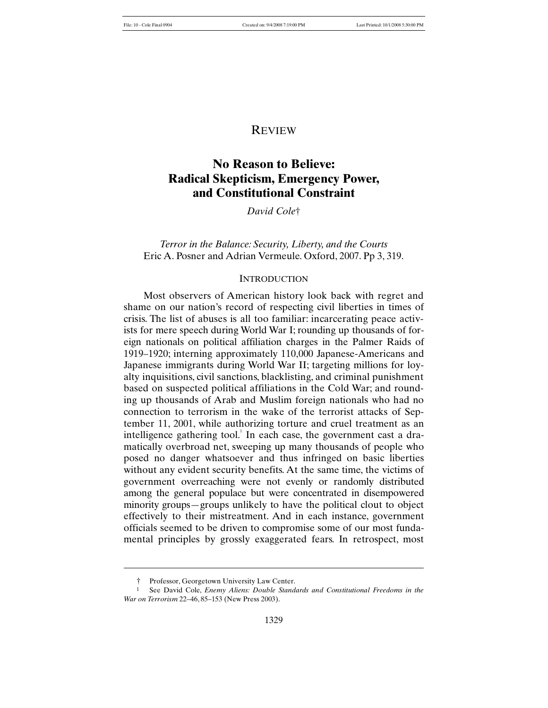# REVIEW

# **No Reason to Believe: Radical Skepticism, Emergency Power, and Constitutional Constraint**

*David Cole*†

*Terror in the Balance: Security, Liberty, and the Courts* Eric A. Posner and Adrian Vermeule. Oxford, 2007. Pp 3, 319.

#### **INTRODUCTION**

Most observers of American history look back with regret and shame on our nation's record of respecting civil liberties in times of crisis. The list of abuses is all too familiar: incarcerating peace activists for mere speech during World War I; rounding up thousands of foreign nationals on political affiliation charges in the Palmer Raids of 1919–1920; interning approximately 110,000 Japanese-Americans and Japanese immigrants during World War II; targeting millions for loyalty inquisitions, civil sanctions, blacklisting, and criminal punishment based on suspected political affiliations in the Cold War; and rounding up thousands of Arab and Muslim foreign nationals who had no connection to terrorism in the wake of the terrorist attacks of September 11, 2001, while authorizing torture and cruel treatment as an intelligence gathering tool. In each case, the government cast a dramatically overbroad net, sweeping up many thousands of people who posed no danger whatsoever and thus infringed on basic liberties without any evident security benefits. At the same time, the victims of government overreaching were not evenly or randomly distributed among the general populace but were concentrated in disempowered minority groups—groups unlikely to have the political clout to object effectively to their mistreatment. And in each instance, government officials seemed to be driven to compromise some of our most fundamental principles by grossly exaggerated fears. In retrospect, most

1

<sup>†</sup> Professor, Georgetown University Law Center.

<sup>1</sup> See David Cole, *Enemy Aliens: Double Standards and Constitutional Freedoms in the War on Terrorism* 22–46, 85–153 (New Press 2003).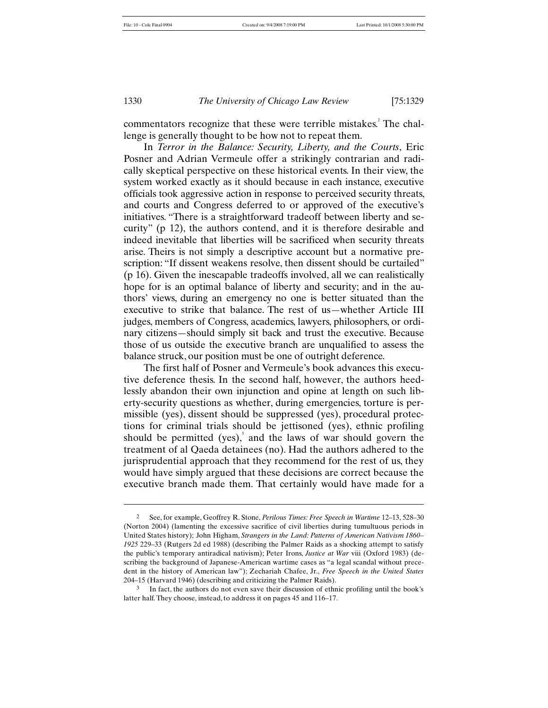#### 1330 *The University of Chicago Law Review* [75:1329

commentators recognize that these were terrible mistakes.<sup>2</sup> The challenge is generally thought to be how not to repeat them.

In *Terror in the Balance: Security, Liberty, and the Courts*, Eric Posner and Adrian Vermeule offer a strikingly contrarian and radically skeptical perspective on these historical events. In their view, the system worked exactly as it should because in each instance, executive officials took aggressive action in response to perceived security threats, and courts and Congress deferred to or approved of the executive's initiatives. "There is a straightforward tradeoff between liberty and security" (p 12), the authors contend, and it is therefore desirable and indeed inevitable that liberties will be sacrificed when security threats arise. Theirs is not simply a descriptive account but a normative prescription: "If dissent weakens resolve, then dissent should be curtailed" (p 16). Given the inescapable tradeoffs involved, all we can realistically hope for is an optimal balance of liberty and security; and in the authors' views, during an emergency no one is better situated than the executive to strike that balance. The rest of us—whether Article III judges, members of Congress, academics, lawyers, philosophers, or ordinary citizens—should simply sit back and trust the executive. Because those of us outside the executive branch are unqualified to assess the balance struck, our position must be one of outright deference.

The first half of Posner and Vermeule's book advances this executive deference thesis. In the second half, however, the authors heedlessly abandon their own injunction and opine at length on such liberty-security questions as whether, during emergencies, torture is permissible (yes), dissent should be suppressed (yes), procedural protections for criminal trials should be jettisoned (yes), ethnic profiling should be permitted (yes), $3$  and the laws of war should govern the treatment of al Qaeda detainees (no). Had the authors adhered to the jurisprudential approach that they recommend for the rest of us, they would have simply argued that these decisions are correct because the executive branch made them. That certainly would have made for a

<sup>2</sup> See, for example, Geoffrey R. Stone, *Perilous Times: Free Speech in Wartime* 12–13, 528–30 (Norton 2004) (lamenting the excessive sacrifice of civil liberties during tumultuous periods in United States history); John Higham, *Strangers in the Land: Patterns of American Nativism 1860– 1925* 229–33 (Rutgers 2d ed 1988) (describing the Palmer Raids as a shocking attempt to satisfy the public's temporary antiradical nativism); Peter Irons, *Justice at War* viii (Oxford 1983) (describing the background of Japanese-American wartime cases as "a legal scandal without precedent in the history of American law"); Zechariah Chafee, Jr., *Free Speech in the United States* 204–15 (Harvard 1946) (describing and criticizing the Palmer Raids).

<sup>&</sup>lt;sup>3</sup> In fact, the authors do not even save their discussion of ethnic profiling until the book's latter half. They choose, instead, to address it on pages 45 and 116–17.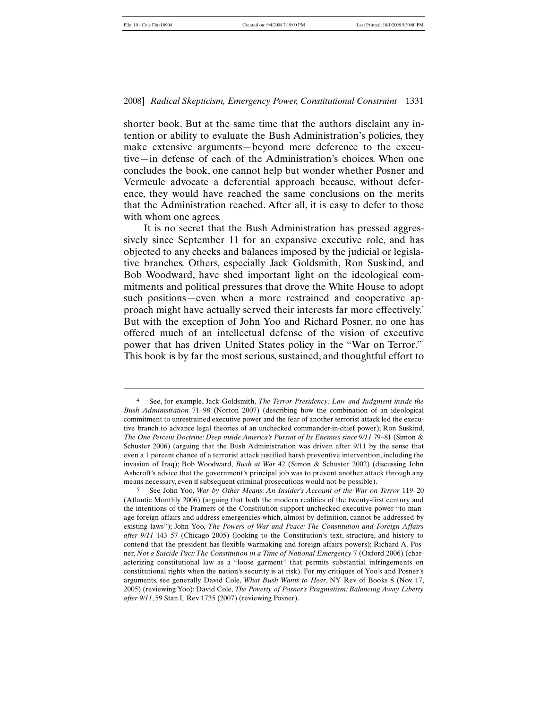2008] *Radical Skepticism, Emergency Power, Constitutional Constraint* 1331

shorter book. But at the same time that the authors disclaim any intention or ability to evaluate the Bush Administration's policies, they make extensive arguments—beyond mere deference to the executive—in defense of each of the Administration's choices. When one concludes the book, one cannot help but wonder whether Posner and Vermeule advocate a deferential approach because, without deference, they would have reached the same conclusions on the merits that the Administration reached. After all, it is easy to defer to those with whom one agrees.

It is no secret that the Bush Administration has pressed aggressively since September 11 for an expansive executive role, and has objected to any checks and balances imposed by the judicial or legislative branches. Others, especially Jack Goldsmith, Ron Suskind, and Bob Woodward, have shed important light on the ideological commitments and political pressures that drove the White House to adopt such positions—even when a more restrained and cooperative approach might have actually served their interests far more effectively.<sup>4</sup> But with the exception of John Yoo and Richard Posner, no one has offered much of an intellectual defense of the vision of executive power that has driven United States policy in the "War on Terror." This book is by far the most serious, sustained, and thoughtful effort to

<sup>4</sup> See, for example, Jack Goldsmith, *The Terror Presidency: Law and Judgment inside the Bush Administration* 71–98 (Norton 2007) (describing how the combination of an ideological commitment to unrestrained executive power and the fear of another terrorist attack led the executive branch to advance legal theories of an unchecked commander-in-chief power); Ron Suskind, *The One Percent Doctrine: Deep inside America's Pursuit of Its Enemies since 9/11* 79–81 (Simon & Schuster 2006) (arguing that the Bush Administration was driven after 9/11 by the sense that even a 1 percent chance of a terrorist attack justified harsh preventive intervention, including the invasion of Iraq); Bob Woodward, *Bush at War* 42 (Simon & Schuster 2002) (discussing John Ashcroft's advice that the government's principal job was to prevent another attack through any means necessary, even if subsequent criminal prosecutions would not be possible).

<sup>5</sup> See John Yoo, *War by Other Means: An Insider's Account of the War on Terror* 119–20 (Atlantic Monthly 2006) (arguing that both the modern realities of the twenty-first century and the intentions of the Framers of the Constitution support unchecked executive power "to manage foreign affairs and address emergencies which, almost by definition, cannot be addressed by existing laws"); John Yoo, *The Powers of War and Peace: The Constitution and Foreign Affairs after 9/11* 143–57 (Chicago 2005) (looking to the Constitution's text, structure, and history to contend that the president has flexible warmaking and foreign affairs powers); Richard A. Posner, *Not a Suicide Pact: The Constitution in a Time of National Emergency* 7 (Oxford 2006) (characterizing constitutional law as a "loose garment" that permits substantial infringements on constitutional rights when the nation's security is at risk). For my critiques of Yoo's and Posner's arguments, see generally David Cole, *What Bush Wants to Hear*, NY Rev of Books 8 (Nov 17, 2005) (reviewing Yoo); David Cole, *The Poverty of Posner's Pragmatism: Balancing Away Liberty after 9/11*, 59 Stan L Rev 1735 (2007) (reviewing Posner).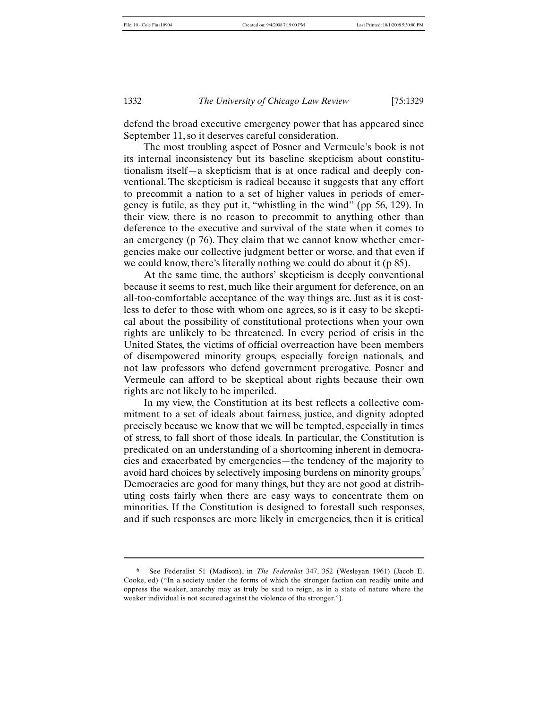1332 *The University of Chicago Law Review* [75:1329

defend the broad executive emergency power that has appeared since September 11, so it deserves careful consideration.

The most troubling aspect of Posner and Vermeule's book is not its internal inconsistency but its baseline skepticism about constitutionalism itself—a skepticism that is at once radical and deeply conventional. The skepticism is radical because it suggests that any effort to precommit a nation to a set of higher values in periods of emergency is futile, as they put it, "whistling in the wind" (pp 56, 129). In their view, there is no reason to precommit to anything other than deference to the executive and survival of the state when it comes to an emergency (p 76). They claim that we cannot know whether emergencies make our collective judgment better or worse, and that even if we could know, there's literally nothing we could do about it (p 85).

At the same time, the authors' skepticism is deeply conventional because it seems to rest, much like their argument for deference, on an all-too-comfortable acceptance of the way things are. Just as it is costless to defer to those with whom one agrees, so is it easy to be skeptical about the possibility of constitutional protections when your own rights are unlikely to be threatened. In every period of crisis in the United States, the victims of official overreaction have been members of disempowered minority groups, especially foreign nationals, and not law professors who defend government prerogative. Posner and Vermeule can afford to be skeptical about rights because their own rights are not likely to be imperiled.

In my view, the Constitution at its best reflects a collective commitment to a set of ideals about fairness, justice, and dignity adopted precisely because we know that we will be tempted, especially in times of stress, to fall short of those ideals. In particular, the Constitution is predicated on an understanding of a shortcoming inherent in democracies and exacerbated by emergencies—the tendency of the majority to avoid hard choices by selectively imposing burdens on minority groups.<sup>6</sup> Democracies are good for many things, but they are not good at distributing costs fairly when there are easy ways to concentrate them on minorities. If the Constitution is designed to forestall such responses, and if such responses are more likely in emergencies, then it is critical

<sup>6</sup> See Federalist 51 (Madison), in *The Federalist* 347, 352 (Wesleyan 1961) (Jacob E. Cooke, ed) ("In a society under the forms of which the stronger faction can readily unite and oppress the weaker, anarchy may as truly be said to reign, as in a state of nature where the weaker individual is not secured against the violence of the stronger.").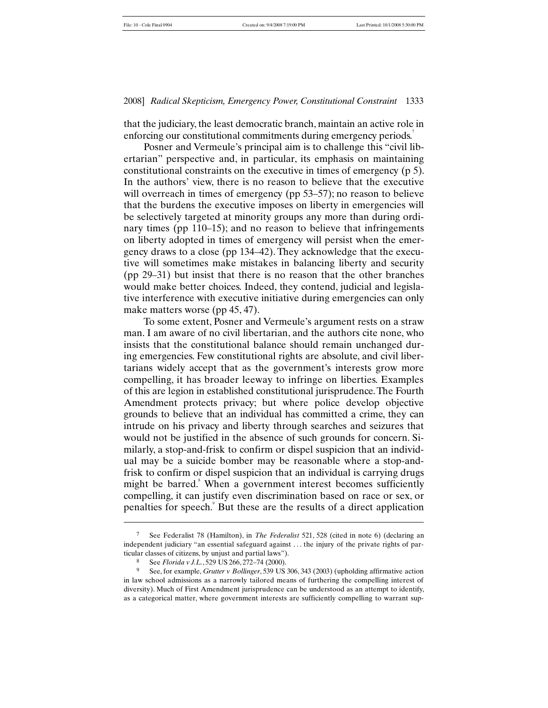that the judiciary, the least democratic branch, maintain an active role in enforcing our constitutional commitments during emergency periods.

Posner and Vermeule's principal aim is to challenge this "civil libertarian" perspective and, in particular, its emphasis on maintaining constitutional constraints on the executive in times of emergency (p 5). In the authors' view, there is no reason to believe that the executive will overreach in times of emergency (pp 53–57); no reason to believe that the burdens the executive imposes on liberty in emergencies will be selectively targeted at minority groups any more than during ordinary times (pp 110–15); and no reason to believe that infringements on liberty adopted in times of emergency will persist when the emergency draws to a close (pp 134–42). They acknowledge that the executive will sometimes make mistakes in balancing liberty and security (pp 29–31) but insist that there is no reason that the other branches would make better choices. Indeed, they contend, judicial and legislative interference with executive initiative during emergencies can only make matters worse (pp 45, 47).

To some extent, Posner and Vermeule's argument rests on a straw man. I am aware of no civil libertarian, and the authors cite none, who insists that the constitutional balance should remain unchanged during emergencies. Few constitutional rights are absolute, and civil libertarians widely accept that as the government's interests grow more compelling, it has broader leeway to infringe on liberties. Examples of this are legion in established constitutional jurisprudence. The Fourth Amendment protects privacy; but where police develop objective grounds to believe that an individual has committed a crime, they can intrude on his privacy and liberty through searches and seizures that would not be justified in the absence of such grounds for concern. Similarly, a stop-and-frisk to confirm or dispel suspicion that an individual may be a suicide bomber may be reasonable where a stop-andfrisk to confirm or dispel suspicion that an individual is carrying drugs might be barred.<sup>8</sup> When a government interest becomes sufficiently compelling, it can justify even discrimination based on race or sex, or penalties for speech. But these are the results of a direct application

<sup>7</sup> See Federalist 78 (Hamilton), in *The Federalist* 521, 528 (cited in note 6) (declaring an independent judiciary "an essential safeguard against . . . the injury of the private rights of particular classes of citizens, by unjust and partial laws").

<sup>8</sup> See *Florida v J.L.*, 529 US 266, 272–74 (2000).

<sup>9</sup> See, for example, *Grutter v Bollinger*, 539 US 306, 343 (2003) (upholding affirmative action in law school admissions as a narrowly tailored means of furthering the compelling interest of diversity). Much of First Amendment jurisprudence can be understood as an attempt to identify, as a categorical matter, where government interests are sufficiently compelling to warrant sup-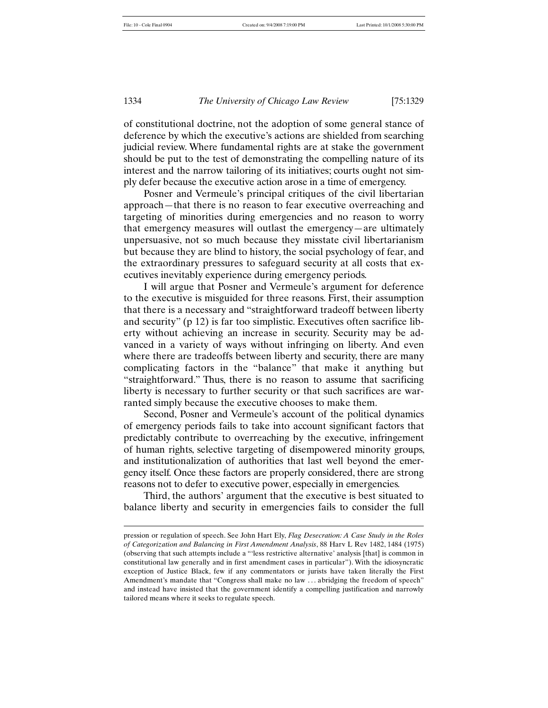1

1334 *The University of Chicago Law Review* [75:1329

of constitutional doctrine, not the adoption of some general stance of deference by which the executive's actions are shielded from searching judicial review. Where fundamental rights are at stake the government should be put to the test of demonstrating the compelling nature of its interest and the narrow tailoring of its initiatives; courts ought not simply defer because the executive action arose in a time of emergency.

Posner and Vermeule's principal critiques of the civil libertarian approach—that there is no reason to fear executive overreaching and targeting of minorities during emergencies and no reason to worry that emergency measures will outlast the emergency—are ultimately unpersuasive, not so much because they misstate civil libertarianism but because they are blind to history, the social psychology of fear, and the extraordinary pressures to safeguard security at all costs that executives inevitably experience during emergency periods.

I will argue that Posner and Vermeule's argument for deference to the executive is misguided for three reasons. First, their assumption that there is a necessary and "straightforward tradeoff between liberty and security" (p 12) is far too simplistic. Executives often sacrifice liberty without achieving an increase in security. Security may be advanced in a variety of ways without infringing on liberty. And even where there are tradeoffs between liberty and security, there are many complicating factors in the "balance" that make it anything but "straightforward." Thus, there is no reason to assume that sacrificing liberty is necessary to further security or that such sacrifices are warranted simply because the executive chooses to make them.

Second, Posner and Vermeule's account of the political dynamics of emergency periods fails to take into account significant factors that predictably contribute to overreaching by the executive, infringement of human rights, selective targeting of disempowered minority groups, and institutionalization of authorities that last well beyond the emergency itself. Once these factors are properly considered, there are strong reasons not to defer to executive power, especially in emergencies.

Third, the authors' argument that the executive is best situated to balance liberty and security in emergencies fails to consider the full

pression or regulation of speech. See John Hart Ely, *Flag Desecration: A Case Study in the Roles of Categorization and Balancing in First Amendment Analysis*, 88 Harv L Rev 1482, 1484 (1975) (observing that such attempts include a "'less restrictive alternative' analysis [that] is common in constitutional law generally and in first amendment cases in particular"). With the idiosyncratic exception of Justice Black, few if any commentators or jurists have taken literally the First Amendment's mandate that "Congress shall make no law . . . abridging the freedom of speech" and instead have insisted that the government identify a compelling justification and narrowly tailored means where it seeks to regulate speech.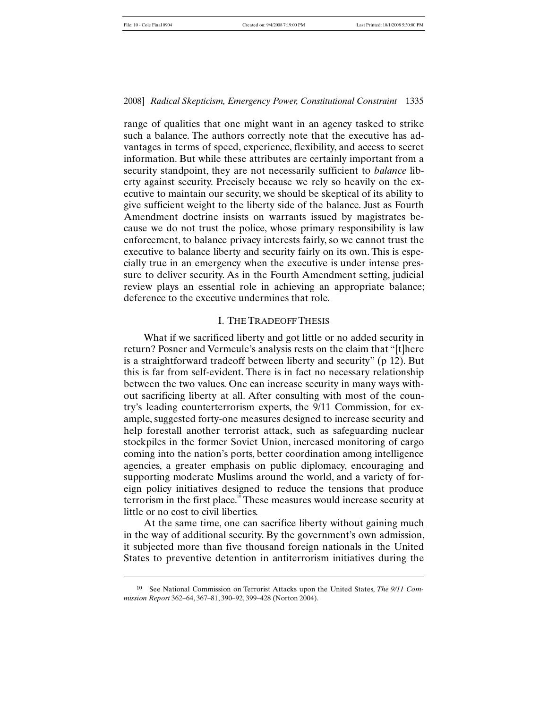2008] *Radical Skepticism, Emergency Power, Constitutional Constraint* 1335

range of qualities that one might want in an agency tasked to strike such a balance. The authors correctly note that the executive has advantages in terms of speed, experience, flexibility, and access to secret information. But while these attributes are certainly important from a security standpoint, they are not necessarily sufficient to *balance* liberty against security. Precisely because we rely so heavily on the executive to maintain our security, we should be skeptical of its ability to give sufficient weight to the liberty side of the balance. Just as Fourth Amendment doctrine insists on warrants issued by magistrates because we do not trust the police, whose primary responsibility is law enforcement, to balance privacy interests fairly, so we cannot trust the executive to balance liberty and security fairly on its own. This is especially true in an emergency when the executive is under intense pressure to deliver security. As in the Fourth Amendment setting, judicial review plays an essential role in achieving an appropriate balance; deference to the executive undermines that role.

## I. THE TRADEOFF THESIS

What if we sacrificed liberty and got little or no added security in return? Posner and Vermeule's analysis rests on the claim that "[t]here is a straightforward tradeoff between liberty and security" (p 12). But this is far from self-evident. There is in fact no necessary relationship between the two values. One can increase security in many ways without sacrificing liberty at all. After consulting with most of the country's leading counterterrorism experts, the 9/11 Commission, for example, suggested forty-one measures designed to increase security and help forestall another terrorist attack, such as safeguarding nuclear stockpiles in the former Soviet Union, increased monitoring of cargo coming into the nation's ports, better coordination among intelligence agencies, a greater emphasis on public diplomacy, encouraging and supporting moderate Muslims around the world, and a variety of foreign policy initiatives designed to reduce the tensions that produce terrorism in the first place.<sup>"</sup> These measures would increase security at little or no cost to civil liberties.

At the same time, one can sacrifice liberty without gaining much in the way of additional security. By the government's own admission, it subjected more than five thousand foreign nationals in the United States to preventive detention in antiterrorism initiatives during the

<sup>10</sup> See National Commission on Terrorist Attacks upon the United States, *The 9/11 Commission Report* 362–64, 367–81, 390–92, 399–428 (Norton 2004).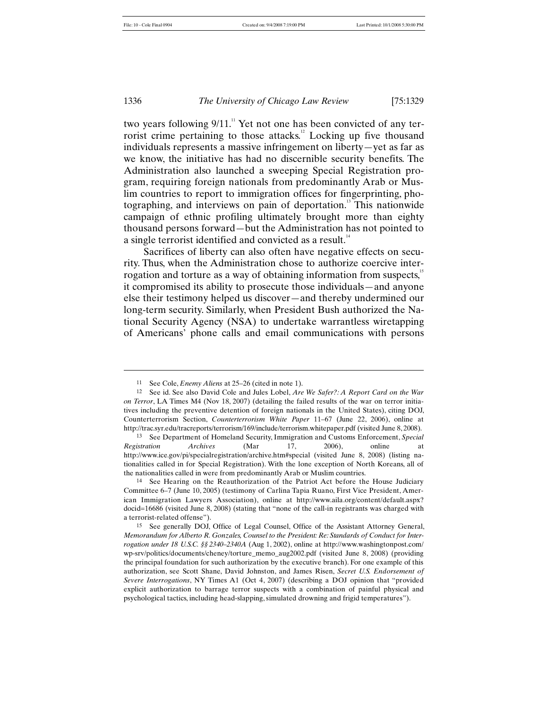1336 *The University of Chicago Law Review* [75:1329

two years following  $9/11$ .<sup>11</sup> Yet not one has been convicted of any terrorist crime pertaining to those attacks.<sup>12</sup> Locking up five thousand individuals represents a massive infringement on liberty—yet as far as we know, the initiative has had no discernible security benefits. The Administration also launched a sweeping Special Registration program, requiring foreign nationals from predominantly Arab or Muslim countries to report to immigration offices for fingerprinting, photographing, and interviews on pain of deportation.<sup>13</sup> This nationwide campaign of ethnic profiling ultimately brought more than eighty thousand persons forward—but the Administration has not pointed to a single terrorist identified and convicted as a result.<sup>14</sup>

Sacrifices of liberty can also often have negative effects on security. Thus, when the Administration chose to authorize coercive interrogation and torture as a way of obtaining information from suspects,<sup>15</sup> it compromised its ability to prosecute those individuals—and anyone else their testimony helped us discover—and thereby undermined our long-term security. Similarly, when President Bush authorized the National Security Agency (NSA) to undertake warrantless wiretapping of Americans' phone calls and email communications with persons

<sup>11</sup> See Cole, *Enemy Aliens* at 25–26 (cited in note 1).

<sup>12</sup> See id. See also David Cole and Jules Lobel, *Are We Safer?: A Report Card on the War on Terror*, LA Times M4 (Nov 18, 2007) (detailing the failed results of the war on terror initiatives including the preventive detention of foreign nationals in the United States), citing DOJ, Counterterrorism Section, *Counterterrorism White Paper* 11–67 (June 22, 2006), online at http://trac.syr.edu/tracreports/terrorism/169/include/terrorism.whitepaper.pdf (visited June 8, 2008).

<sup>13</sup> See Department of Homeland Security, Immigration and Customs Enforcement, *Special Registration Archives* (Mar 17, 2006), online at http://www.ice.gov/pi/specialregistration/archive.htm#special (visited June 8, 2008) (listing nationalities called in for Special Registration). With the lone exception of North Koreans, all of the nationalities called in were from predominantly Arab or Muslim countries.

<sup>14</sup> See Hearing on the Reauthorization of the Patriot Act before the House Judiciary Committee 6–7 (June 10, 2005) (testimony of Carlina Tapia Ruano, First Vice President, American Immigration Lawyers Association), online at http://www.aila.org/content/default.aspx? docid=16686 (visited June 8, 2008) (stating that "none of the call-in registrants was charged with a terrorist-related offense").

<sup>15</sup> See generally DOJ, Office of Legal Counsel, Office of the Assistant Attorney General, *Memorandum for Alberto R. Gonzales, Counsel to the President: Re: Standards of Conduct for Interrogation under 18 U.S.C. §§ 2340–2340A* (Aug 1, 2002), online at http://www.washingtonpost.com/ wp-srv/politics/documents/cheney/torture\_memo\_aug2002.pdf (visited June 8, 2008) (providing the principal foundation for such authorization by the executive branch). For one example of this authorization, see Scott Shane, David Johnston, and James Risen, *Secret U.S. Endorsement of Severe Interrogations*, NY Times A1 (Oct 4, 2007) (describing a DOJ opinion that "provided explicit authorization to barrage terror suspects with a combination of painful physical and psychological tactics, including head-slapping, simulated drowning and frigid temperatures").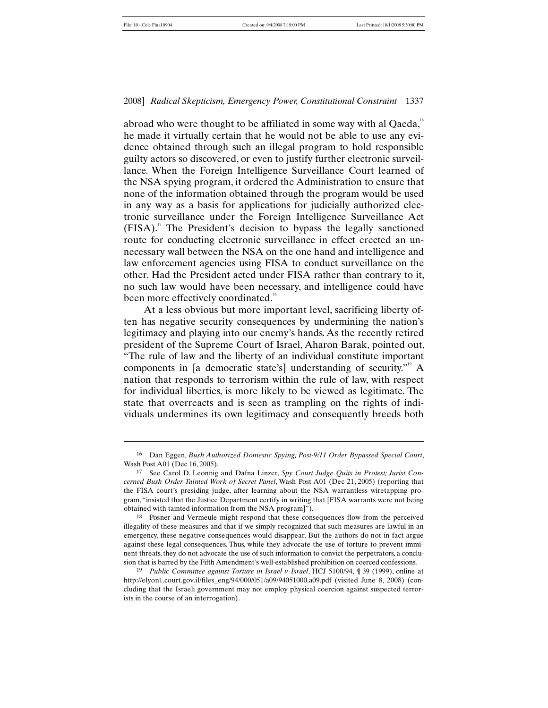2008] *Radical Skepticism, Emergency Power, Constitutional Constraint* 1337

abroad who were thought to be affiliated in some way with al Qaeda, $\frac{1}{6}$ he made it virtually certain that he would not be able to use any evidence obtained through such an illegal program to hold responsible guilty actors so discovered, or even to justify further electronic surveillance. When the Foreign Intelligence Surveillance Court learned of the NSA spying program, it ordered the Administration to ensure that none of the information obtained through the program would be used in any way as a basis for applications for judicially authorized electronic surveillance under the Foreign Intelligence Surveillance Act  $(FISA)$ .<sup>17</sup> The President's decision to bypass the legally sanctioned route for conducting electronic surveillance in effect erected an unnecessary wall between the NSA on the one hand and intelligence and law enforcement agencies using FISA to conduct surveillance on the other. Had the President acted under FISA rather than contrary to it, no such law would have been necessary, and intelligence could have been more effectively coordinated.<sup>18</sup>

At a less obvious but more important level, sacrificing liberty often has negative security consequences by undermining the nation's legitimacy and playing into our enemy's hands. As the recently retired president of the Supreme Court of Israel, Aharon Barak, pointed out, "The rule of law and the liberty of an individual constitute important components in [a democratic state's] understanding of security."  $A$ nation that responds to terrorism within the rule of law, with respect for individual liberties, is more likely to be viewed as legitimate. The state that overreacts and is seen as trampling on the rights of individuals undermines its own legitimacy and consequently breeds both

<sup>16</sup> Dan Eggen, *Bush Authorized Domestic Spying; Post-9/11 Order Bypassed Special Court*, Wash Post A01 (Dec 16, 2005).

<sup>17</sup> See Carol D. Leonnig and Dafna Linzer, *Spy Court Judge Quits in Protest; Jurist Concerned Bush Order Tainted Work of Secret Panel*, Wash Post A01 (Dec 21, 2005) (reporting that the FISA court's presiding judge, after learning about the NSA warrantless wiretapping program, "insisted that the Justice Department certify in writing that [FISA warrants were not being obtained with tainted information from the NSA program]").

<sup>18</sup> Posner and Vermeule might respond that these consequences flow from the perceived illegality of these measures and that if we simply recognized that such measures are lawful in an emergency, these negative consequences would disappear. But the authors do not in fact argue against these legal consequences. Thus, while they advocate the use of torture to prevent imminent threats, they do not advocate the use of such information to convict the perpetrators, a conclusion that is barred by the Fifth Amendment's well-established prohibition on coerced confessions.

<sup>19</sup> *Public Committee against Torture in Israel v Israel*, HCJ 5100/94, ¶ 39 (1999), online at http://elyon1.court.gov.il/files\_eng/94/000/051/a09/94051000.a09.pdf (visited June 8, 2008) (concluding that the Israeli government may not employ physical coercion against suspected terrorists in the course of an interrogation).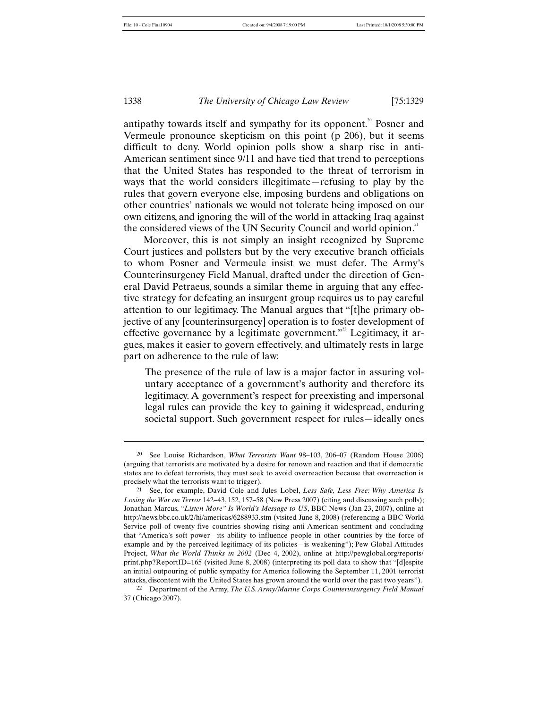1338 *The University of Chicago Law Review* [75:1329

antipathy towards itself and sympathy for its opponent.<sup>20</sup> Posner and Vermeule pronounce skepticism on this point (p 206), but it seems difficult to deny. World opinion polls show a sharp rise in anti-American sentiment since 9/11 and have tied that trend to perceptions that the United States has responded to the threat of terrorism in ways that the world considers illegitimate—refusing to play by the rules that govern everyone else, imposing burdens and obligations on other countries' nationals we would not tolerate being imposed on our own citizens, and ignoring the will of the world in attacking Iraq against the considered views of the UN Security Council and world opinion.<sup>21</sup>

Moreover, this is not simply an insight recognized by Supreme Court justices and pollsters but by the very executive branch officials to whom Posner and Vermeule insist we must defer. The Army's Counterinsurgency Field Manual, drafted under the direction of General David Petraeus, sounds a similar theme in arguing that any effective strategy for defeating an insurgent group requires us to pay careful attention to our legitimacy. The Manual argues that "[t]he primary objective of any [counterinsurgency] operation is to foster development of effective governance by a legitimate government."<sup>22</sup> Legitimacy, it argues, makes it easier to govern effectively, and ultimately rests in large part on adherence to the rule of law:

The presence of the rule of law is a major factor in assuring voluntary acceptance of a government's authority and therefore its legitimacy. A government's respect for preexisting and impersonal legal rules can provide the key to gaining it widespread, enduring societal support. Such government respect for rules—ideally ones

<sup>20</sup> See Louise Richardson, *What Terrorists Want* 98–103, 206–07 (Random House 2006) (arguing that terrorists are motivated by a desire for renown and reaction and that if democratic states are to defeat terrorists, they must seek to avoid overreaction because that overreaction is precisely what the terrorists want to trigger).

<sup>21</sup> See, for example, David Cole and Jules Lobel, *Less Safe, Less Free: Why America Is Losing the War on Terror* 142–43, 152, 157–58 (New Press 2007) (citing and discussing such polls); Jonathan Marcus, *"Listen More" Is World's Message to US*, BBC News (Jan 23, 2007), online at http://news.bbc.co.uk/2/hi/americas/6288933.stm (visited June 8, 2008) (referencing a BBC World Service poll of twenty-five countries showing rising anti-American sentiment and concluding that "America's soft power—its ability to influence people in other countries by the force of example and by the perceived legitimacy of its policies—is weakening"); Pew Global Attitudes Project, *What the World Thinks in 2002* (Dec 4, 2002), online at http://pewglobal.org/reports/ print.php?ReportID=165 (visited June 8, 2008) (interpreting its poll data to show that "[d]espite an initial outpouring of public sympathy for America following the September 11, 2001 terrorist attacks, discontent with the United States has grown around the world over the past two years").

<sup>22</sup> Department of the Army, *The U.S. Army/Marine Corps Counterinsurgency Field Manual*  37 (Chicago 2007).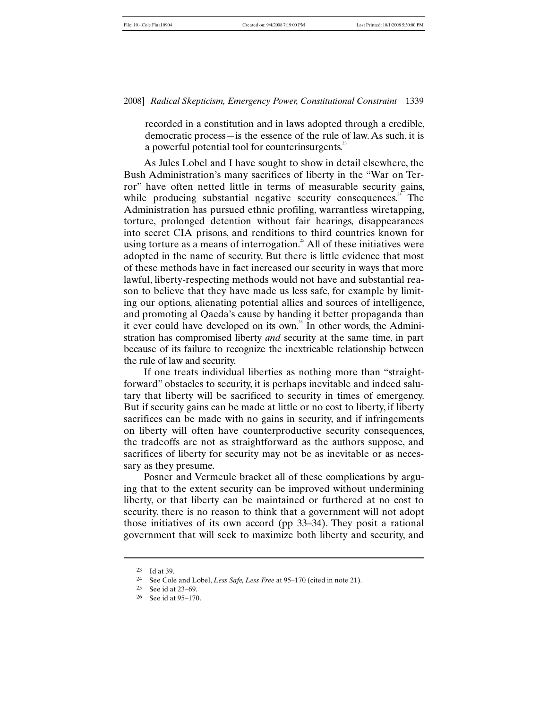recorded in a constitution and in laws adopted through a credible, democratic process—is the essence of the rule of law. As such, it is a powerful potential tool for counterinsurgents.<sup>23</sup>

As Jules Lobel and I have sought to show in detail elsewhere, the Bush Administration's many sacrifices of liberty in the "War on Terror" have often netted little in terms of measurable security gains, while producing substantial negative security consequences.<sup>24</sup> The Administration has pursued ethnic profiling, warrantless wiretapping, torture, prolonged detention without fair hearings, disappearances into secret CIA prisons, and renditions to third countries known for using torture as a means of interrogation.<sup>25</sup> All of these initiatives were adopted in the name of security. But there is little evidence that most of these methods have in fact increased our security in ways that more lawful, liberty-respecting methods would not have and substantial reason to believe that they have made us less safe, for example by limiting our options, alienating potential allies and sources of intelligence, and promoting al Qaeda's cause by handing it better propaganda than it ever could have developed on its own.<sup>26</sup> In other words, the Administration has compromised liberty *and* security at the same time, in part because of its failure to recognize the inextricable relationship between the rule of law and security.

If one treats individual liberties as nothing more than "straightforward" obstacles to security, it is perhaps inevitable and indeed salutary that liberty will be sacrificed to security in times of emergency. But if security gains can be made at little or no cost to liberty, if liberty sacrifices can be made with no gains in security, and if infringements on liberty will often have counterproductive security consequences, the tradeoffs are not as straightforward as the authors suppose, and sacrifices of liberty for security may not be as inevitable or as necessary as they presume.

Posner and Vermeule bracket all of these complications by arguing that to the extent security can be improved without undermining liberty, or that liberty can be maintained or furthered at no cost to security, there is no reason to think that a government will not adopt those initiatives of its own accord (pp 33–34). They posit a rational government that will seek to maximize both liberty and security, and

<sup>23</sup> Id at 39.

<sup>24</sup> See Cole and Lobel, *Less Safe, Less Free* at 95–170 (cited in note 21).

<sup>25</sup> See id at 23–69.

<sup>26</sup> See id at 95–170.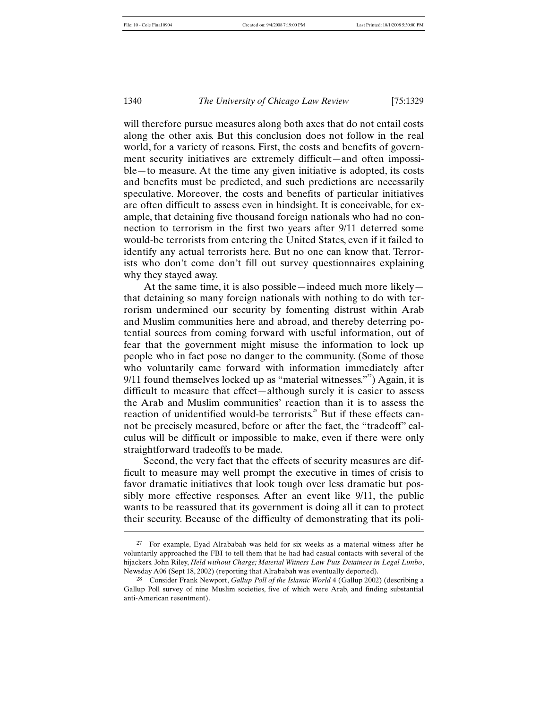1340 *The University of Chicago Law Review* [75:1329

will therefore pursue measures along both axes that do not entail costs along the other axis. But this conclusion does not follow in the real world, for a variety of reasons. First, the costs and benefits of government security initiatives are extremely difficult—and often impossible—to measure. At the time any given initiative is adopted, its costs and benefits must be predicted, and such predictions are necessarily speculative. Moreover, the costs and benefits of particular initiatives are often difficult to assess even in hindsight. It is conceivable, for example, that detaining five thousand foreign nationals who had no connection to terrorism in the first two years after 9/11 deterred some would-be terrorists from entering the United States, even if it failed to identify any actual terrorists here. But no one can know that. Terrorists who don't come don't fill out survey questionnaires explaining why they stayed away.

At the same time, it is also possible—indeed much more likely that detaining so many foreign nationals with nothing to do with terrorism undermined our security by fomenting distrust within Arab and Muslim communities here and abroad, and thereby deterring potential sources from coming forward with useful information, out of fear that the government might misuse the information to lock up people who in fact pose no danger to the community. (Some of those who voluntarily came forward with information immediately after 9/11 found themselves locked up as "material witnesses."<sup>27</sup>) Again, it is difficult to measure that effect—although surely it is easier to assess the Arab and Muslim communities' reaction than it is to assess the reaction of unidentified would-be terrorists.<sup>28</sup> But if these effects cannot be precisely measured, before or after the fact, the "tradeoff" calculus will be difficult or impossible to make, even if there were only straightforward tradeoffs to be made.

Second, the very fact that the effects of security measures are difficult to measure may well prompt the executive in times of crisis to favor dramatic initiatives that look tough over less dramatic but possibly more effective responses. After an event like 9/11, the public wants to be reassured that its government is doing all it can to protect their security. Because of the difficulty of demonstrating that its poli-

<sup>27</sup> For example, Eyad Alrababah was held for six weeks as a material witness after he voluntarily approached the FBI to tell them that he had had casual contacts with several of the hijackers. John Riley, *Held without Charge; Material Witness Law Puts Detainees in Legal Limbo*, Newsday A06 (Sept 18, 2002) (reporting that Alrababah was eventually deported).

<sup>28</sup> Consider Frank Newport, *Gallup Poll of the Islamic World* 4 (Gallup 2002) (describing a Gallup Poll survey of nine Muslim societies, five of which were Arab, and finding substantial anti-American resentment).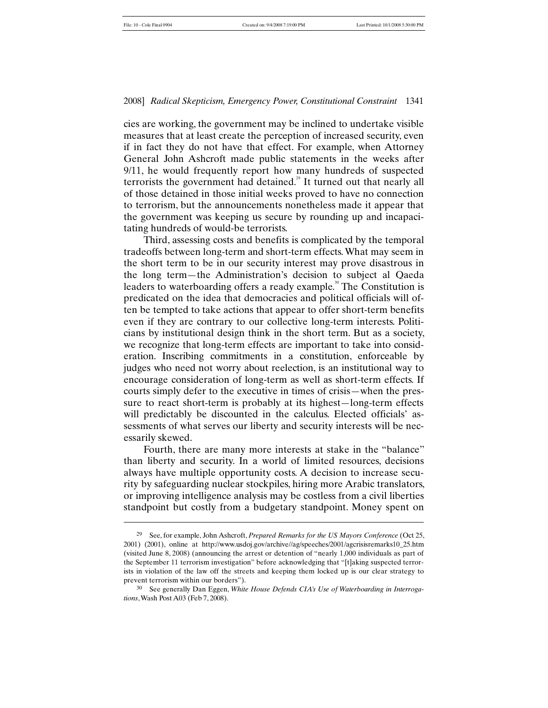2008] *Radical Skepticism, Emergency Power, Constitutional Constraint* 1341

cies are working, the government may be inclined to undertake visible measures that at least create the perception of increased security, even if in fact they do not have that effect. For example, when Attorney General John Ashcroft made public statements in the weeks after 9/11, he would frequently report how many hundreds of suspected terrorists the government had detained. $2^{\circ}$  It turned out that nearly all of those detained in those initial weeks proved to have no connection to terrorism, but the announcements nonetheless made it appear that the government was keeping us secure by rounding up and incapacitating hundreds of would-be terrorists.

Third, assessing costs and benefits is complicated by the temporal tradeoffs between long-term and short-term effects. What may seem in the short term to be in our security interest may prove disastrous in the long term—the Administration's decision to subject al Qaeda leaders to waterboarding offers a ready example.<sup>30</sup> The Constitution is predicated on the idea that democracies and political officials will often be tempted to take actions that appear to offer short-term benefits even if they are contrary to our collective long-term interests. Politicians by institutional design think in the short term. But as a society, we recognize that long-term effects are important to take into consideration. Inscribing commitments in a constitution, enforceable by judges who need not worry about reelection, is an institutional way to encourage consideration of long-term as well as short-term effects. If courts simply defer to the executive in times of crisis—when the pressure to react short-term is probably at its highest—long-term effects will predictably be discounted in the calculus. Elected officials' assessments of what serves our liberty and security interests will be necessarily skewed.

Fourth, there are many more interests at stake in the "balance" than liberty and security. In a world of limited resources, decisions always have multiple opportunity costs. A decision to increase security by safeguarding nuclear stockpiles, hiring more Arabic translators, or improving intelligence analysis may be costless from a civil liberties standpoint but costly from a budgetary standpoint. Money spent on

<sup>29</sup> See, for example, John Ashcroft, *Prepared Remarks for the US Mayors Conference* (Oct 25, 2001) (2001), online at http://www.usdoj.gov/archive//ag/speeches/2001/agcrisisremarks10\_25.htm (visited June 8, 2008) (announcing the arrest or detention of "nearly 1,000 individuals as part of the September 11 terrorism investigation" before acknowledging that "[t]aking suspected terrorists in violation of the law off the streets and keeping them locked up is our clear strategy to prevent terrorism within our borders").

<sup>30</sup> See generally Dan Eggen, *White House Defends CIA's Use of Waterboarding in Interrogations*, Wash Post A03 (Feb 7, 2008).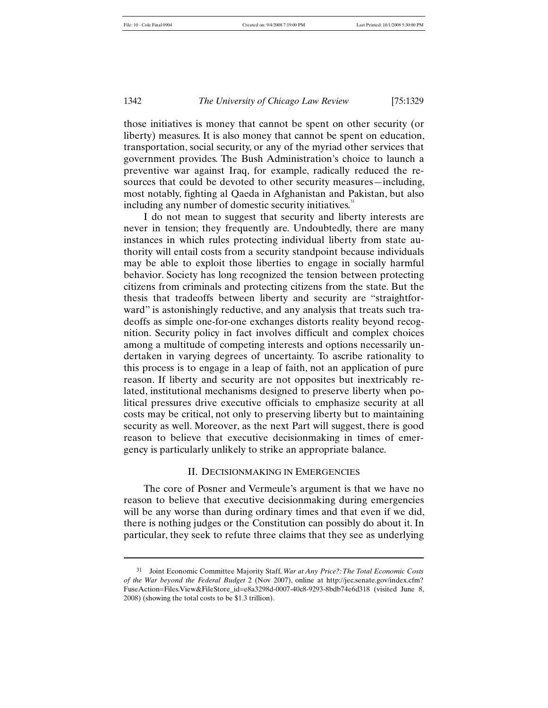1342 *The University of Chicago Law Review* [75:1329

those initiatives is money that cannot be spent on other security (or liberty) measures. It is also money that cannot be spent on education, transportation, social security, or any of the myriad other services that government provides. The Bush Administration's choice to launch a preventive war against Iraq, for example, radically reduced the resources that could be devoted to other security measures—including, most notably, fighting al Qaeda in Afghanistan and Pakistan, but also including any number of domestic security initiatives.<sup>31</sup>

I do not mean to suggest that security and liberty interests are never in tension; they frequently are. Undoubtedly, there are many instances in which rules protecting individual liberty from state authority will entail costs from a security standpoint because individuals may be able to exploit those liberties to engage in socially harmful behavior. Society has long recognized the tension between protecting citizens from criminals and protecting citizens from the state. But the thesis that tradeoffs between liberty and security are "straightforward" is astonishingly reductive, and any analysis that treats such tradeoffs as simple one-for-one exchanges distorts reality beyond recognition. Security policy in fact involves difficult and complex choices among a multitude of competing interests and options necessarily undertaken in varying degrees of uncertainty. To ascribe rationality to this process is to engage in a leap of faith, not an application of pure reason. If liberty and security are not opposites but inextricably related, institutional mechanisms designed to preserve liberty when political pressures drive executive officials to emphasize security at all costs may be critical, not only to preserving liberty but to maintaining security as well. Moreover, as the next Part will suggest, there is good reason to believe that executive decisionmaking in times of emergency is particularly unlikely to strike an appropriate balance.

# II. DECISIONMAKING IN EMERGENCIES

The core of Posner and Vermeule's argument is that we have no reason to believe that executive decisionmaking during emergencies will be any worse than during ordinary times and that even if we did, there is nothing judges or the Constitution can possibly do about it. In particular, they seek to refute three claims that they see as underlying

<sup>31</sup> Joint Economic Committee Majority Staff, *War at Any Price?: The Total Economic Costs of the War beyond the Federal Budget* 2 (Nov 2007), online at http://jec.senate.gov/index.cfm? FuseAction=Files.View&FileStore\_id=e8a3298d-0007-40c8-9293-8bdb74e6d318 (visited June 8, 2008) (showing the total costs to be \$1.3 trillion).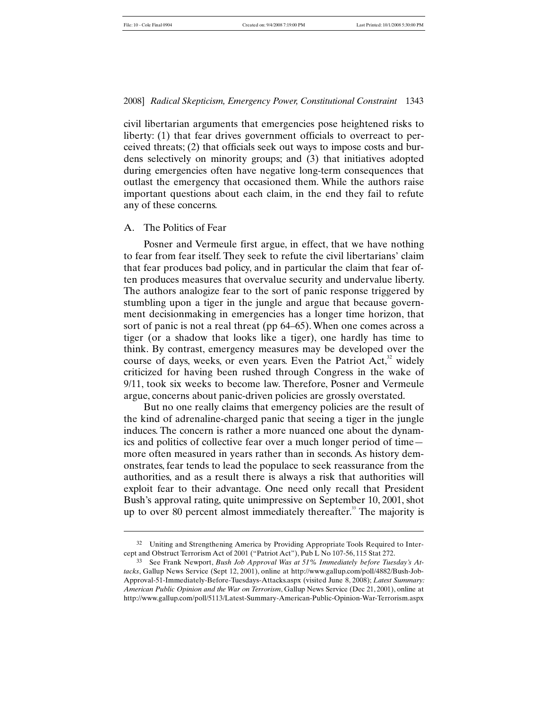civil libertarian arguments that emergencies pose heightened risks to liberty: (1) that fear drives government officials to overreact to perceived threats; (2) that officials seek out ways to impose costs and burdens selectively on minority groups; and (3) that initiatives adopted during emergencies often have negative long-term consequences that outlast the emergency that occasioned them. While the authors raise important questions about each claim, in the end they fail to refute any of these concerns.

# A. The Politics of Fear

 $\overline{a}$ 

Posner and Vermeule first argue, in effect, that we have nothing to fear from fear itself. They seek to refute the civil libertarians' claim that fear produces bad policy, and in particular the claim that fear often produces measures that overvalue security and undervalue liberty. The authors analogize fear to the sort of panic response triggered by stumbling upon a tiger in the jungle and argue that because government decisionmaking in emergencies has a longer time horizon, that sort of panic is not a real threat (pp 64–65). When one comes across a tiger (or a shadow that looks like a tiger), one hardly has time to think. By contrast, emergency measures may be developed over the course of days, weeks, or even years. Even the Patriot  $Act<sub>1</sub><sup>32</sup>$  widely criticized for having been rushed through Congress in the wake of 9/11, took six weeks to become law. Therefore, Posner and Vermeule argue, concerns about panic-driven policies are grossly overstated.

But no one really claims that emergency policies are the result of the kind of adrenaline-charged panic that seeing a tiger in the jungle induces. The concern is rather a more nuanced one about the dynamics and politics of collective fear over a much longer period of time more often measured in years rather than in seconds. As history demonstrates, fear tends to lead the populace to seek reassurance from the authorities, and as a result there is always a risk that authorities will exploit fear to their advantage. One need only recall that President Bush's approval rating, quite unimpressive on September 10, 2001, shot up to over 80 percent almost immediately thereafter.<sup>33</sup> The majority is

<sup>32</sup> Uniting and Strengthening America by Providing Appropriate Tools Required to Intercept and Obstruct Terrorism Act of 2001 ("Patriot Act"), Pub L No 107-56, 115 Stat 272.

<sup>33</sup> See Frank Newport, *Bush Job Approval Was at 51% Immediately before Tuesday's Attacks*, Gallup News Service (Sept 12, 2001), online at http://www.gallup.com/poll/4882/Bush-Job-Approval-51-Immediately-Before-Tuesdays-Attacks.aspx (visited June 8, 2008); *Latest Summary: American Public Opinion and the War on Terrorism*, Gallup News Service (Dec 21, 2001), online at http://www.gallup.com/poll/5113/Latest-Summary-American-Public-Opinion-War-Terrorism.aspx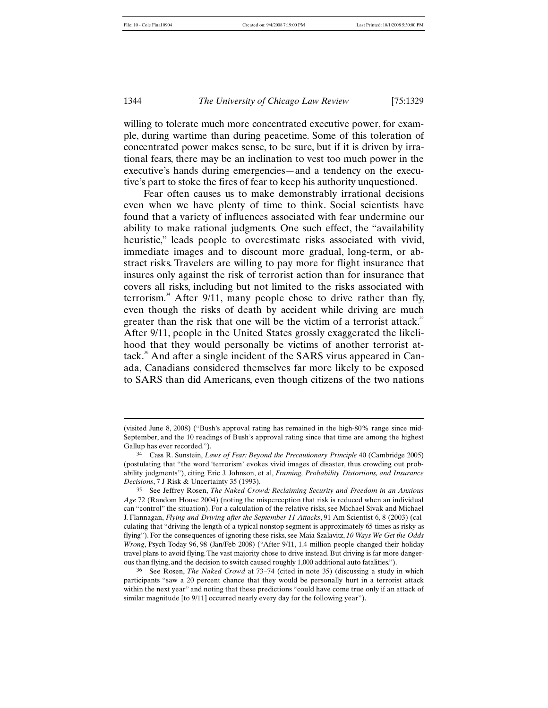1

1344 *The University of Chicago Law Review* [75:1329

willing to tolerate much more concentrated executive power, for example, during wartime than during peacetime. Some of this toleration of concentrated power makes sense, to be sure, but if it is driven by irrational fears, there may be an inclination to vest too much power in the executive's hands during emergencies—and a tendency on the executive's part to stoke the fires of fear to keep his authority unquestioned.

Fear often causes us to make demonstrably irrational decisions even when we have plenty of time to think. Social scientists have found that a variety of influences associated with fear undermine our ability to make rational judgments. One such effect, the "availability heuristic," leads people to overestimate risks associated with vivid, immediate images and to discount more gradual, long-term, or abstract risks. Travelers are willing to pay more for flight insurance that insures only against the risk of terrorist action than for insurance that covers all risks, including but not limited to the risks associated with terrorism.<sup>34</sup> After 9/11, many people chose to drive rather than fly, even though the risks of death by accident while driving are much greater than the risk that one will be the victim of a terrorist attack.<sup>35</sup> After 9/11, people in the United States grossly exaggerated the likelihood that they would personally be victims of another terrorist attack.<sup>36</sup> And after a single incident of the SARS virus appeared in Canada, Canadians considered themselves far more likely to be exposed to SARS than did Americans, even though citizens of the two nations

<sup>(</sup>visited June 8, 2008) ("Bush's approval rating has remained in the high-80% range since mid-September, and the 10 readings of Bush's approval rating since that time are among the highest Gallup has ever recorded.").

<sup>34</sup> Cass R. Sunstein, *Laws of Fear: Beyond the Precautionary Principle* 40 (Cambridge 2005) (postulating that "the word 'terrorism' evokes vivid images of disaster, thus crowding out probability judgments"), citing Eric J. Johnson, et al, *Framing, Probability Distortions, and Insurance Decisions*, 7 J Risk & Uncertainty 35 (1993).

<sup>35</sup> See Jeffrey Rosen, *The Naked Crowd: Reclaiming Security and Freedom in an Anxious Age* 72 (Random House 2004) (noting the misperception that risk is reduced when an individual can "control" the situation). For a calculation of the relative risks, see Michael Sivak and Michael J. Flannagan, *Flying and Driving after the September 11 Attacks*, 91 Am Scientist 6, 8 (2003) (calculating that "driving the length of a typical nonstop segment is approximately 65 times as risky as flying"). For the consequences of ignoring these risks, see Maia Szalavitz, *10 Ways We Get the Odds Wrong*, Psych Today 96, 98 (Jan/Feb 2008) ("After 9/11, 1.4 million people changed their holiday travel plans to avoid flying. The vast majority chose to drive instead. But driving is far more dangerous than flying, and the decision to switch caused roughly 1,000 additional auto fatalities.").

<sup>36</sup> See Rosen, *The Naked Crowd* at 73–74 (cited in note 35) (discussing a study in which participants "saw a 20 percent chance that they would be personally hurt in a terrorist attack within the next year" and noting that these predictions "could have come true only if an attack of similar magnitude [to 9/11] occurred nearly every day for the following year").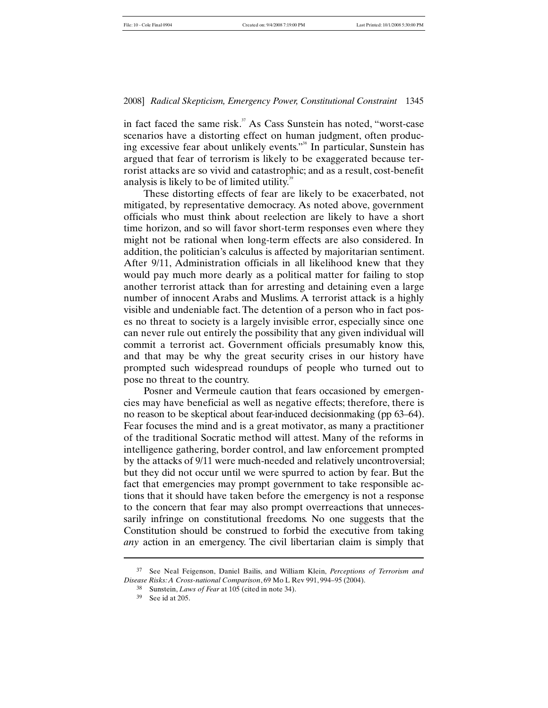in fact faced the same risk.<sup>37</sup> As Cass Sunstein has noted, "worst-case scenarios have a distorting effect on human judgment, often producing excessive fear about unlikely events."<sup>38</sup> In particular, Sunstein has argued that fear of terrorism is likely to be exaggerated because terrorist attacks are so vivid and catastrophic; and as a result, cost-benefit analysis is likely to be of limited utility.<sup>35</sup>

These distorting effects of fear are likely to be exacerbated, not mitigated, by representative democracy. As noted above, government officials who must think about reelection are likely to have a short time horizon, and so will favor short-term responses even where they might not be rational when long-term effects are also considered. In addition, the politician's calculus is affected by majoritarian sentiment. After 9/11, Administration officials in all likelihood knew that they would pay much more dearly as a political matter for failing to stop another terrorist attack than for arresting and detaining even a large number of innocent Arabs and Muslims. A terrorist attack is a highly visible and undeniable fact. The detention of a person who in fact poses no threat to society is a largely invisible error, especially since one can never rule out entirely the possibility that any given individual will commit a terrorist act. Government officials presumably know this, and that may be why the great security crises in our history have prompted such widespread roundups of people who turned out to pose no threat to the country.

Posner and Vermeule caution that fears occasioned by emergencies may have beneficial as well as negative effects; therefore, there is no reason to be skeptical about fear-induced decisionmaking (pp 63–64). Fear focuses the mind and is a great motivator, as many a practitioner of the traditional Socratic method will attest. Many of the reforms in intelligence gathering, border control, and law enforcement prompted by the attacks of 9/11 were much-needed and relatively uncontroversial; but they did not occur until we were spurred to action by fear. But the fact that emergencies may prompt government to take responsible actions that it should have taken before the emergency is not a response to the concern that fear may also prompt overreactions that unnecessarily infringe on constitutional freedoms. No one suggests that the Constitution should be construed to forbid the executive from taking *any* action in an emergency. The civil libertarian claim is simply that

<sup>37</sup> See Neal Feigenson, Daniel Bailis, and William Klein, *Perceptions of Terrorism and Disease Risks: A Cross-national Comparison*, 69 Mo L Rev 991, 994–95 (2004).

<sup>38</sup> Sunstein, *Laws of Fear* at 105 (cited in note 34).

<sup>39</sup> See id at 205.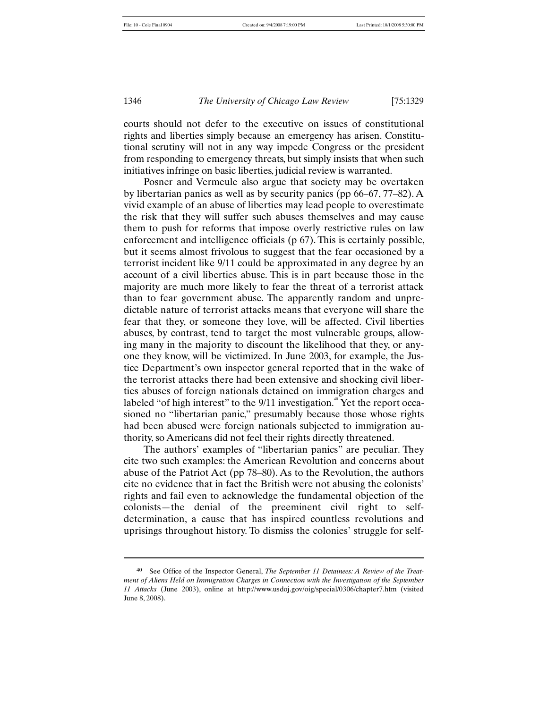1346 *The University of Chicago Law Review* [75:1329

courts should not defer to the executive on issues of constitutional rights and liberties simply because an emergency has arisen. Constitutional scrutiny will not in any way impede Congress or the president from responding to emergency threats, but simply insists that when such initiatives infringe on basic liberties, judicial review is warranted.

Posner and Vermeule also argue that society may be overtaken by libertarian panics as well as by security panics (pp 66–67, 77–82). A vivid example of an abuse of liberties may lead people to overestimate the risk that they will suffer such abuses themselves and may cause them to push for reforms that impose overly restrictive rules on law enforcement and intelligence officials (p 67). This is certainly possible, but it seems almost frivolous to suggest that the fear occasioned by a terrorist incident like 9/11 could be approximated in any degree by an account of a civil liberties abuse. This is in part because those in the majority are much more likely to fear the threat of a terrorist attack than to fear government abuse. The apparently random and unpredictable nature of terrorist attacks means that everyone will share the fear that they, or someone they love, will be affected. Civil liberties abuses, by contrast, tend to target the most vulnerable groups, allowing many in the majority to discount the likelihood that they, or anyone they know, will be victimized. In June 2003, for example, the Justice Department's own inspector general reported that in the wake of the terrorist attacks there had been extensive and shocking civil liberties abuses of foreign nationals detained on immigration charges and labeled "of high interest" to the 9/11 investigation.<sup>40</sup> Yet the report occasioned no "libertarian panic," presumably because those whose rights had been abused were foreign nationals subjected to immigration authority, so Americans did not feel their rights directly threatened.

The authors' examples of "libertarian panics" are peculiar. They cite two such examples: the American Revolution and concerns about abuse of the Patriot Act (pp 78–80). As to the Revolution, the authors cite no evidence that in fact the British were not abusing the colonists' rights and fail even to acknowledge the fundamental objection of the colonists—the denial of the preeminent civil right to selfdetermination, a cause that has inspired countless revolutions and uprisings throughout history. To dismiss the colonies' struggle for self-

<sup>40</sup> See Office of the Inspector General, *The September 11 Detainees: A Review of the Treatment of Aliens Held on Immigration Charges in Connection with the Investigation of the September 11 Attacks* (June 2003), online at http://www.usdoj.gov/oig/special/0306/chapter7.htm (visited June 8, 2008).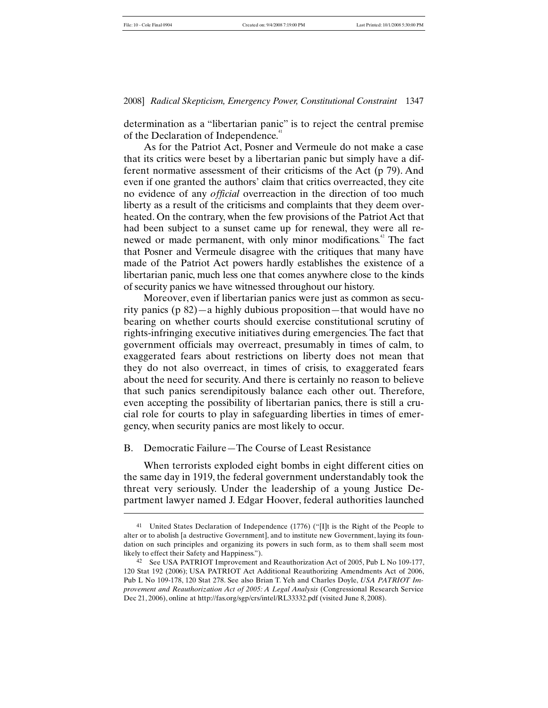2008] *Radical Skepticism, Emergency Power, Constitutional Constraint* 1347

determination as a "libertarian panic" is to reject the central premise of the Declaration of Independence.<sup>4</sup>

As for the Patriot Act, Posner and Vermeule do not make a case that its critics were beset by a libertarian panic but simply have a different normative assessment of their criticisms of the Act (p 79). And even if one granted the authors' claim that critics overreacted, they cite no evidence of any *official* overreaction in the direction of too much liberty as a result of the criticisms and complaints that they deem overheated. On the contrary, when the few provisions of the Patriot Act that had been subject to a sunset came up for renewal, they were all renewed or made permanent, with only minor modifications.<sup>42</sup> The fact that Posner and Vermeule disagree with the critiques that many have made of the Patriot Act powers hardly establishes the existence of a libertarian panic, much less one that comes anywhere close to the kinds of security panics we have witnessed throughout our history.

Moreover, even if libertarian panics were just as common as security panics (p 82)—a highly dubious proposition—that would have no bearing on whether courts should exercise constitutional scrutiny of rights-infringing executive initiatives during emergencies. The fact that government officials may overreact, presumably in times of calm, to exaggerated fears about restrictions on liberty does not mean that they do not also overreact, in times of crisis, to exaggerated fears about the need for security. And there is certainly no reason to believe that such panics serendipitously balance each other out. Therefore, even accepting the possibility of libertarian panics, there is still a crucial role for courts to play in safeguarding liberties in times of emergency, when security panics are most likely to occur.

#### B. Democratic Failure—The Course of Least Resistance

When terrorists exploded eight bombs in eight different cities on the same day in 1919, the federal government understandably took the threat very seriously. Under the leadership of a young Justice Department lawyer named J. Edgar Hoover, federal authorities launched

<sup>41</sup> United States Declaration of Independence (1776) ("[I]t is the Right of the People to alter or to abolish [a destructive Government], and to institute new Government, laying its foundation on such principles and organizing its powers in such form, as to them shall seem most likely to effect their Safety and Happiness.").

<sup>42</sup> See USA PATRIOT Improvement and Reauthorization Act of 2005, Pub L No 109-177, 120 Stat 192 (2006); USA PATRIOT Act Additional Reauthorizing Amendments Act of 2006, Pub L No 109-178, 120 Stat 278. See also Brian T. Yeh and Charles Doyle, *USA PATRIOT Improvement and Reauthorization Act of 2005: A Legal Analysis* (Congressional Research Service Dec 21, 2006), online at http://fas.org/sgp/crs/intel/RL33332.pdf (visited June 8, 2008).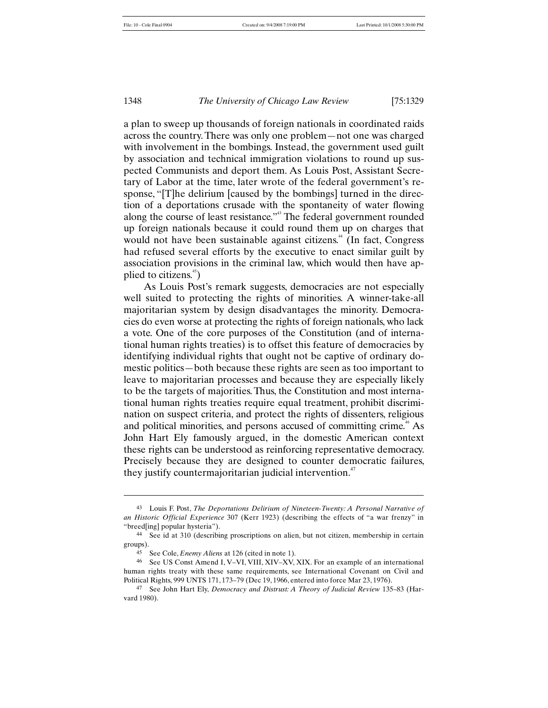1348 *The University of Chicago Law Review* [75:1329

a plan to sweep up thousands of foreign nationals in coordinated raids across the country. There was only one problem—not one was charged with involvement in the bombings. Instead, the government used guilt by association and technical immigration violations to round up suspected Communists and deport them. As Louis Post, Assistant Secretary of Labor at the time, later wrote of the federal government's response, "[T]he delirium [caused by the bombings] turned in the direction of a deportations crusade with the spontaneity of water flowing along the course of least resistance."<sup>43</sup> The federal government rounded up foreign nationals because it could round them up on charges that would not have been sustainable against citizens.<sup>44</sup> (In fact, Congress had refused several efforts by the executive to enact similar guilt by association provisions in the criminal law, which would then have applied to citizens.<sup>45</sup>)

As Louis Post's remark suggests, democracies are not especially well suited to protecting the rights of minorities. A winner-take-all majoritarian system by design disadvantages the minority. Democracies do even worse at protecting the rights of foreign nationals, who lack a vote. One of the core purposes of the Constitution (and of international human rights treaties) is to offset this feature of democracies by identifying individual rights that ought not be captive of ordinary domestic politics—both because these rights are seen as too important to leave to majoritarian processes and because they are especially likely to be the targets of majorities. Thus, the Constitution and most international human rights treaties require equal treatment, prohibit discrimination on suspect criteria, and protect the rights of dissenters, religious and political minorities, and persons accused of committing crime.<sup>46</sup> As John Hart Ely famously argued, in the domestic American context these rights can be understood as reinforcing representative democracy. Precisely because they are designed to counter democratic failures, they justify countermajoritarian judicial intervention.<sup>47</sup>

<sup>43</sup> Louis F. Post, *The Deportations Delirium of Nineteen-Twenty: A Personal Narrative of an Historic Official Experience* 307 (Kerr 1923) (describing the effects of "a war frenzy" in "breed[ing] popular hysteria").

<sup>44</sup> See id at 310 (describing proscriptions on alien, but not citizen, membership in certain groups).

<sup>45</sup> See Cole, *Enemy Aliens* at 126 (cited in note 1).

<sup>46</sup> See US Const Amend I, V–VI, VIII, XIV–XV, XIX. For an example of an international human rights treaty with these same requirements, see International Covenant on Civil and Political Rights, 999 UNTS 171, 173–79 (Dec 19, 1966, entered into force Mar 23, 1976).

<sup>47</sup> See John Hart Ely, *Democracy and Distrust: A Theory of Judicial Review* 135–83 (Harvard 1980).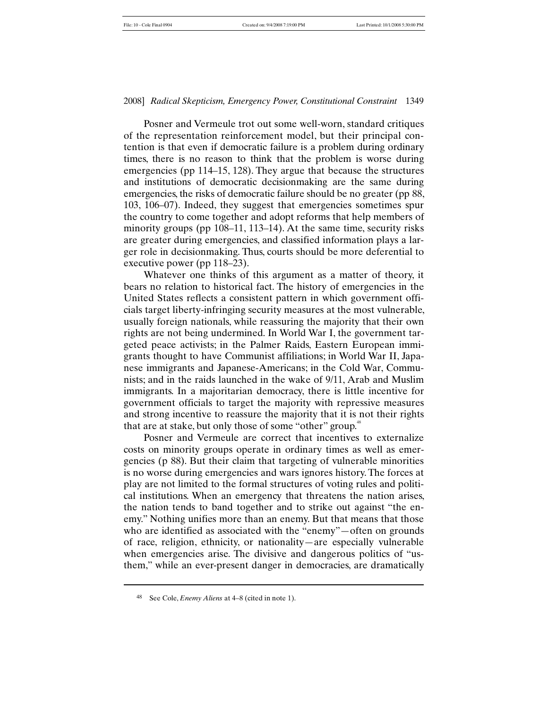Posner and Vermeule trot out some well-worn, standard critiques of the representation reinforcement model, but their principal contention is that even if democratic failure is a problem during ordinary times, there is no reason to think that the problem is worse during emergencies (pp 114–15, 128). They argue that because the structures and institutions of democratic decisionmaking are the same during emergencies, the risks of democratic failure should be no greater (pp 88, 103, 106–07). Indeed, they suggest that emergencies sometimes spur the country to come together and adopt reforms that help members of minority groups (pp 108–11, 113–14). At the same time, security risks are greater during emergencies, and classified information plays a larger role in decisionmaking. Thus, courts should be more deferential to executive power (pp 118–23).

Whatever one thinks of this argument as a matter of theory, it bears no relation to historical fact. The history of emergencies in the United States reflects a consistent pattern in which government officials target liberty-infringing security measures at the most vulnerable, usually foreign nationals, while reassuring the majority that their own rights are not being undermined. In World War I, the government targeted peace activists; in the Palmer Raids, Eastern European immigrants thought to have Communist affiliations; in World War II, Japanese immigrants and Japanese-Americans; in the Cold War, Communists; and in the raids launched in the wake of 9/11, Arab and Muslim immigrants. In a majoritarian democracy, there is little incentive for government officials to target the majority with repressive measures and strong incentive to reassure the majority that it is not their rights that are at stake, but only those of some "other" group.<sup>48</sup>

Posner and Vermeule are correct that incentives to externalize costs on minority groups operate in ordinary times as well as emergencies (p 88). But their claim that targeting of vulnerable minorities is no worse during emergencies and wars ignores history. The forces at play are not limited to the formal structures of voting rules and political institutions. When an emergency that threatens the nation arises, the nation tends to band together and to strike out against "the enemy." Nothing unifies more than an enemy. But that means that those who are identified as associated with the "enemy"—often on grounds of race, religion, ethnicity, or nationality—are especially vulnerable when emergencies arise. The divisive and dangerous politics of "usthem," while an ever-present danger in democracies, are dramatically

<sup>48</sup> See Cole, *Enemy Aliens* at 4–8 (cited in note 1).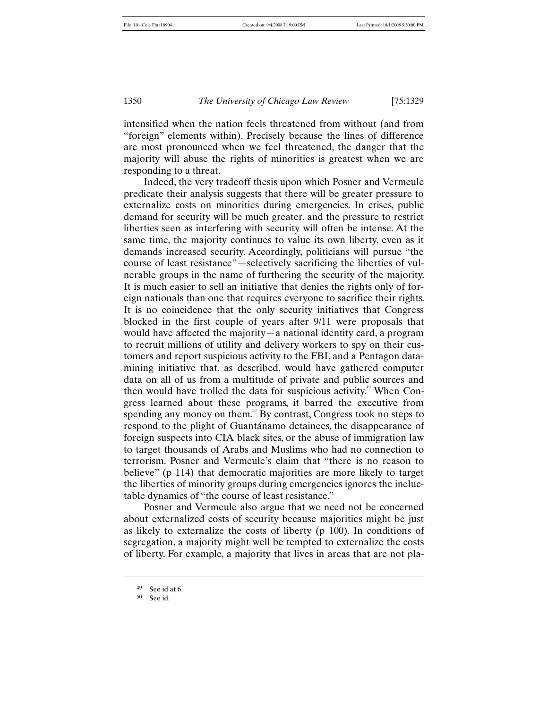1350 *The University of Chicago Law Review* [75:1329

intensified when the nation feels threatened from without (and from "foreign" elements within). Precisely because the lines of difference are most pronounced when we feel threatened, the danger that the majority will abuse the rights of minorities is greatest when we are responding to a threat.

Indeed, the very tradeoff thesis upon which Posner and Vermeule predicate their analysis suggests that there will be greater pressure to externalize costs on minorities during emergencies. In crises, public demand for security will be much greater, and the pressure to restrict liberties seen as interfering with security will often be intense. At the same time, the majority continues to value its own liberty, even as it demands increased security. Accordingly, politicians will pursue "the course of least resistance"—selectively sacrificing the liberties of vulnerable groups in the name of furthering the security of the majority. It is much easier to sell an initiative that denies the rights only of foreign nationals than one that requires everyone to sacrifice their rights. It is no coincidence that the only security initiatives that Congress blocked in the first couple of years after 9/11 were proposals that would have affected the majority—a national identity card, a program to recruit millions of utility and delivery workers to spy on their customers and report suspicious activity to the FBI, and a Pentagon datamining initiative that, as described, would have gathered computer data on all of us from a multitude of private and public sources and then would have trolled the data for suspicious activity.<sup> $\degree$ </sup> When Congress learned about these programs, it barred the executive from spending any money on them.<sup>50</sup> By contrast, Congress took no steps to respond to the plight of Guantánamo detainees, the disappearance of foreign suspects into CIA black sites, or the abuse of immigration law to target thousands of Arabs and Muslims who had no connection to terrorism. Posner and Vermeule's claim that "there is no reason to believe" (p 114) that democratic majorities are more likely to target the liberties of minority groups during emergencies ignores the ineluctable dynamics of "the course of least resistance."

Posner and Vermeule also argue that we need not be concerned about externalized costs of security because majorities might be just as likely to externalize the costs of liberty (p 100). In conditions of segregation, a majority might well be tempted to externalize the costs of liberty. For example, a majority that lives in areas that are not pla-

<sup>49</sup> See id at 6.

<sup>50</sup> See id.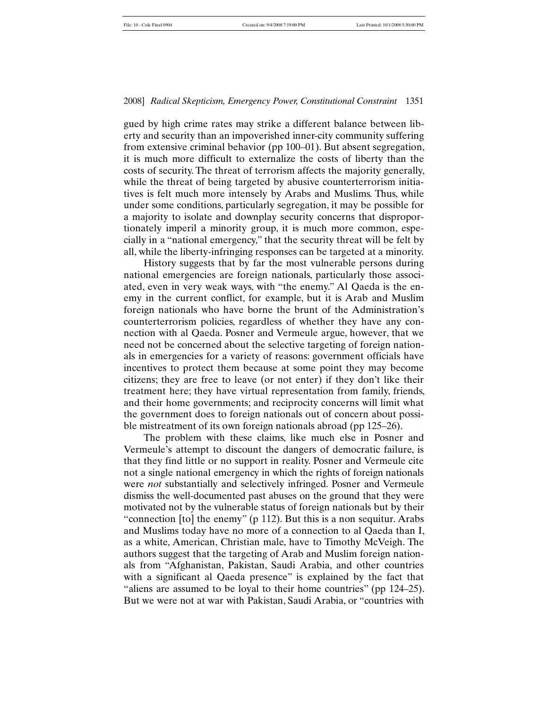gued by high crime rates may strike a different balance between liberty and security than an impoverished inner-city community suffering from extensive criminal behavior (pp 100–01). But absent segregation, it is much more difficult to externalize the costs of liberty than the costs of security. The threat of terrorism affects the majority generally, while the threat of being targeted by abusive counterterrorism initiatives is felt much more intensely by Arabs and Muslims. Thus, while under some conditions, particularly segregation, it may be possible for a majority to isolate and downplay security concerns that disproportionately imperil a minority group, it is much more common, especially in a "national emergency," that the security threat will be felt by all, while the liberty-infringing responses can be targeted at a minority.

History suggests that by far the most vulnerable persons during national emergencies are foreign nationals, particularly those associated, even in very weak ways, with "the enemy." Al Qaeda is the enemy in the current conflict, for example, but it is Arab and Muslim foreign nationals who have borne the brunt of the Administration's counterterrorism policies, regardless of whether they have any connection with al Qaeda. Posner and Vermeule argue, however, that we need not be concerned about the selective targeting of foreign nationals in emergencies for a variety of reasons: government officials have incentives to protect them because at some point they may become citizens; they are free to leave (or not enter) if they don't like their treatment here; they have virtual representation from family, friends, and their home governments; and reciprocity concerns will limit what the government does to foreign nationals out of concern about possible mistreatment of its own foreign nationals abroad (pp 125–26).

The problem with these claims, like much else in Posner and Vermeule's attempt to discount the dangers of democratic failure, is that they find little or no support in reality. Posner and Vermeule cite not a single national emergency in which the rights of foreign nationals were *not* substantially and selectively infringed. Posner and Vermeule dismiss the well-documented past abuses on the ground that they were motivated not by the vulnerable status of foreign nationals but by their "connection [to] the enemy" (p 112). But this is a non sequitur. Arabs and Muslims today have no more of a connection to al Qaeda than I, as a white, American, Christian male, have to Timothy McVeigh. The authors suggest that the targeting of Arab and Muslim foreign nationals from "Afghanistan, Pakistan, Saudi Arabia, and other countries with a significant al Qaeda presence" is explained by the fact that "aliens are assumed to be loyal to their home countries" (pp 124–25). But we were not at war with Pakistan, Saudi Arabia, or "countries with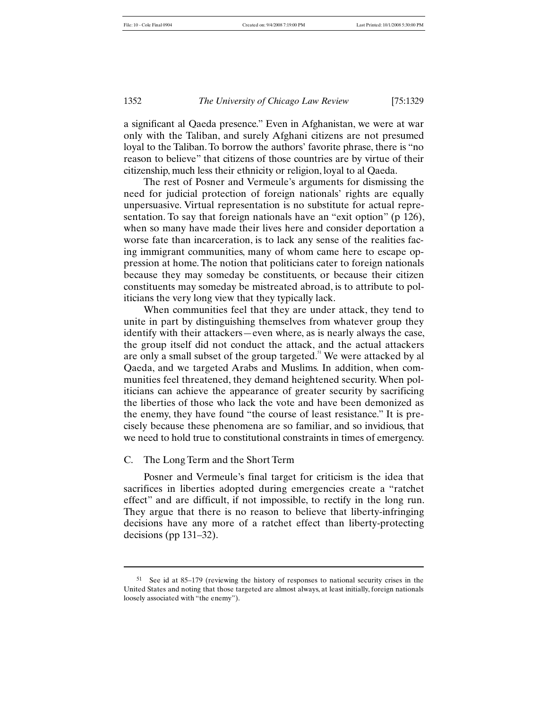1352 *The University of Chicago Law Review* [75:1329

a significant al Qaeda presence." Even in Afghanistan, we were at war only with the Taliban, and surely Afghani citizens are not presumed loyal to the Taliban. To borrow the authors' favorite phrase, there is "no reason to believe" that citizens of those countries are by virtue of their citizenship, much less their ethnicity or religion, loyal to al Qaeda.

The rest of Posner and Vermeule's arguments for dismissing the need for judicial protection of foreign nationals' rights are equally unpersuasive. Virtual representation is no substitute for actual representation. To say that foreign nationals have an "exit option" (p 126), when so many have made their lives here and consider deportation a worse fate than incarceration, is to lack any sense of the realities facing immigrant communities, many of whom came here to escape oppression at home. The notion that politicians cater to foreign nationals because they may someday be constituents, or because their citizen constituents may someday be mistreated abroad, is to attribute to politicians the very long view that they typically lack.

When communities feel that they are under attack, they tend to unite in part by distinguishing themselves from whatever group they identify with their attackers—even where, as is nearly always the case, the group itself did not conduct the attack, and the actual attackers are only a small subset of the group targeted. $51$  We were attacked by al Qaeda, and we targeted Arabs and Muslims. In addition, when communities feel threatened, they demand heightened security. When politicians can achieve the appearance of greater security by sacrificing the liberties of those who lack the vote and have been demonized as the enemy, they have found "the course of least resistance." It is precisely because these phenomena are so familiar, and so invidious, that we need to hold true to constitutional constraints in times of emergency.

# C. The Long Term and the Short Term

 $\overline{a}$ 

Posner and Vermeule's final target for criticism is the idea that sacrifices in liberties adopted during emergencies create a "ratchet effect" and are difficult, if not impossible, to rectify in the long run. They argue that there is no reason to believe that liberty-infringing decisions have any more of a ratchet effect than liberty-protecting decisions (pp 131–32).

<sup>51</sup> See id at 85–179 (reviewing the history of responses to national security crises in the United States and noting that those targeted are almost always, at least initially, foreign nationals loosely associated with "the enemy").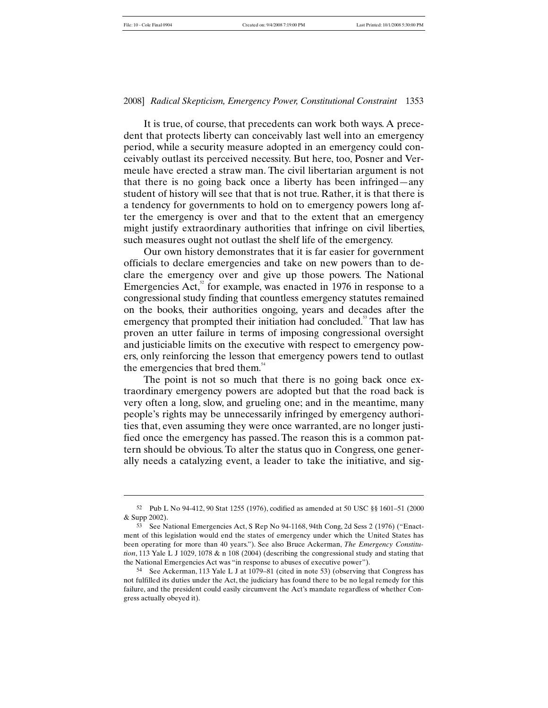2008] *Radical Skepticism, Emergency Power, Constitutional Constraint* 1353

It is true, of course, that precedents can work both ways. A precedent that protects liberty can conceivably last well into an emergency period, while a security measure adopted in an emergency could conceivably outlast its perceived necessity. But here, too, Posner and Vermeule have erected a straw man. The civil libertarian argument is not that there is no going back once a liberty has been infringed—any student of history will see that that is not true. Rather, it is that there is a tendency for governments to hold on to emergency powers long after the emergency is over and that to the extent that an emergency might justify extraordinary authorities that infringe on civil liberties, such measures ought not outlast the shelf life of the emergency.

Our own history demonstrates that it is far easier for government officials to declare emergencies and take on new powers than to declare the emergency over and give up those powers. The National Emergencies Act, $\frac{5}{2}$  for example, was enacted in 1976 in response to a congressional study finding that countless emergency statutes remained on the books, their authorities ongoing, years and decades after the emergency that prompted their initiation had concluded.<sup>53</sup> That law has proven an utter failure in terms of imposing congressional oversight and justiciable limits on the executive with respect to emergency powers, only reinforcing the lesson that emergency powers tend to outlast the emergencies that bred them.<sup>54</sup>

The point is not so much that there is no going back once extraordinary emergency powers are adopted but that the road back is very often a long, slow, and grueling one; and in the meantime, many people's rights may be unnecessarily infringed by emergency authorities that, even assuming they were once warranted, are no longer justified once the emergency has passed. The reason this is a common pattern should be obvious. To alter the status quo in Congress, one generally needs a catalyzing event, a leader to take the initiative, and sig-

<sup>52</sup> Pub L No 94-412, 90 Stat 1255 (1976), codified as amended at 50 USC §§ 1601–51 (2000 & Supp 2002).

<sup>53</sup> See National Emergencies Act, S Rep No 94-1168, 94th Cong, 2d Sess 2 (1976) ("Enactment of this legislation would end the states of emergency under which the United States has been operating for more than 40 years."). See also Bruce Ackerman, *The Emergency Constitution*, 113 Yale L J 1029, 1078 & n 108 (2004) (describing the congressional study and stating that the National Emergencies Act was "in response to abuses of executive power").

<sup>54</sup> See Ackerman, 113 Yale L J at 1079–81 (cited in note 53) (observing that Congress has not fulfilled its duties under the Act, the judiciary has found there to be no legal remedy for this failure, and the president could easily circumvent the Act's mandate regardless of whether Congress actually obeyed it).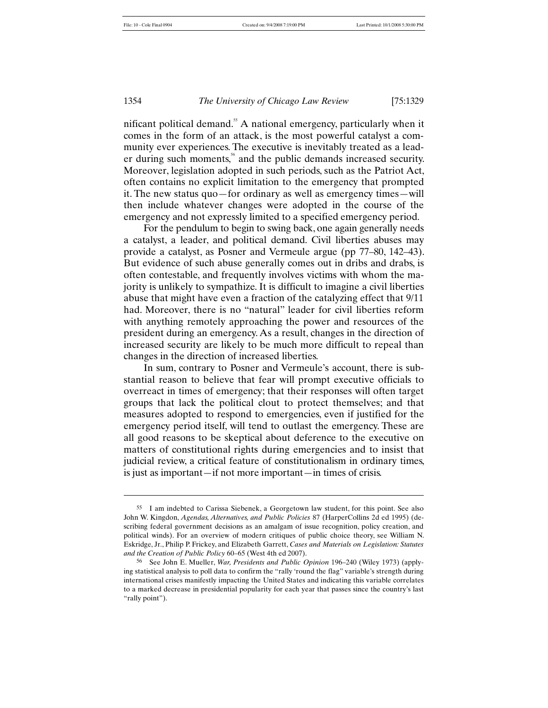1354 *The University of Chicago Law Review* [75:1329

nificant political demand.<sup>55</sup> A national emergency, particularly when it comes in the form of an attack, is the most powerful catalyst a community ever experiences. The executive is inevitably treated as a leader during such moments,<sup>56</sup> and the public demands increased security. Moreover, legislation adopted in such periods, such as the Patriot Act, often contains no explicit limitation to the emergency that prompted it. The new status quo—for ordinary as well as emergency times—will then include whatever changes were adopted in the course of the emergency and not expressly limited to a specified emergency period.

For the pendulum to begin to swing back, one again generally needs a catalyst, a leader, and political demand. Civil liberties abuses may provide a catalyst, as Posner and Vermeule argue (pp 77–80, 142–43). But evidence of such abuse generally comes out in dribs and drabs, is often contestable, and frequently involves victims with whom the majority is unlikely to sympathize. It is difficult to imagine a civil liberties abuse that might have even a fraction of the catalyzing effect that 9/11 had. Moreover, there is no "natural" leader for civil liberties reform with anything remotely approaching the power and resources of the president during an emergency. As a result, changes in the direction of increased security are likely to be much more difficult to repeal than changes in the direction of increased liberties.

In sum, contrary to Posner and Vermeule's account, there is substantial reason to believe that fear will prompt executive officials to overreact in times of emergency; that their responses will often target groups that lack the political clout to protect themselves; and that measures adopted to respond to emergencies, even if justified for the emergency period itself, will tend to outlast the emergency. These are all good reasons to be skeptical about deference to the executive on matters of constitutional rights during emergencies and to insist that judicial review, a critical feature of constitutionalism in ordinary times, is just as important—if not more important—in times of crisis.

<sup>55</sup> I am indebted to Carissa Siebenek, a Georgetown law student, for this point. See also John W. Kingdon, *Agendas, Alternatives, and Public Policies* 87 (HarperCollins 2d ed 1995) (describing federal government decisions as an amalgam of issue recognition, policy creation, and political winds). For an overview of modern critiques of public choice theory, see William N. Eskridge, Jr., Philip P. Frickey, and Elizabeth Garrett, *Cases and Materials on Legislation: Statutes and the Creation of Public Policy* 60–65 (West 4th ed 2007).

<sup>56</sup> See John E. Mueller, *War, Presidents and Public Opinion* 196–240 (Wiley 1973) (applying statistical analysis to poll data to confirm the "rally 'round the flag" variable's strength during international crises manifestly impacting the United States and indicating this variable correlates to a marked decrease in presidential popularity for each year that passes since the country's last "rally point").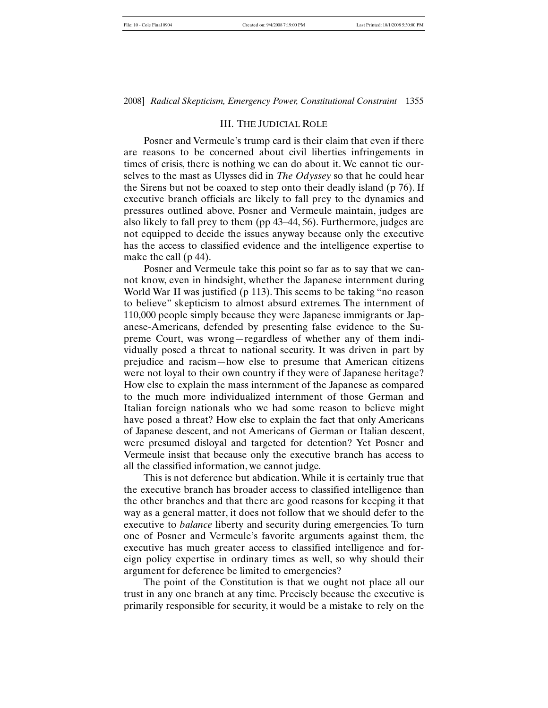#### III. THE JUDICIAL ROLE

Posner and Vermeule's trump card is their claim that even if there are reasons to be concerned about civil liberties infringements in times of crisis, there is nothing we can do about it. We cannot tie ourselves to the mast as Ulysses did in *The Odyssey* so that he could hear the Sirens but not be coaxed to step onto their deadly island (p 76). If executive branch officials are likely to fall prey to the dynamics and pressures outlined above, Posner and Vermeule maintain, judges are also likely to fall prey to them (pp 43–44, 56). Furthermore, judges are not equipped to decide the issues anyway because only the executive has the access to classified evidence and the intelligence expertise to make the call (p 44).

Posner and Vermeule take this point so far as to say that we cannot know, even in hindsight, whether the Japanese internment during World War II was justified (p 113). This seems to be taking "no reason to believe" skepticism to almost absurd extremes. The internment of 110,000 people simply because they were Japanese immigrants or Japanese-Americans, defended by presenting false evidence to the Supreme Court, was wrong—regardless of whether any of them individually posed a threat to national security. It was driven in part by prejudice and racism—how else to presume that American citizens were not loyal to their own country if they were of Japanese heritage? How else to explain the mass internment of the Japanese as compared to the much more individualized internment of those German and Italian foreign nationals who we had some reason to believe might have posed a threat? How else to explain the fact that only Americans of Japanese descent, and not Americans of German or Italian descent, were presumed disloyal and targeted for detention? Yet Posner and Vermeule insist that because only the executive branch has access to all the classified information, we cannot judge.

This is not deference but abdication. While it is certainly true that the executive branch has broader access to classified intelligence than the other branches and that there are good reasons for keeping it that way as a general matter, it does not follow that we should defer to the executive to *balance* liberty and security during emergencies. To turn one of Posner and Vermeule's favorite arguments against them, the executive has much greater access to classified intelligence and foreign policy expertise in ordinary times as well, so why should their argument for deference be limited to emergencies?

The point of the Constitution is that we ought not place all our trust in any one branch at any time. Precisely because the executive is primarily responsible for security, it would be a mistake to rely on the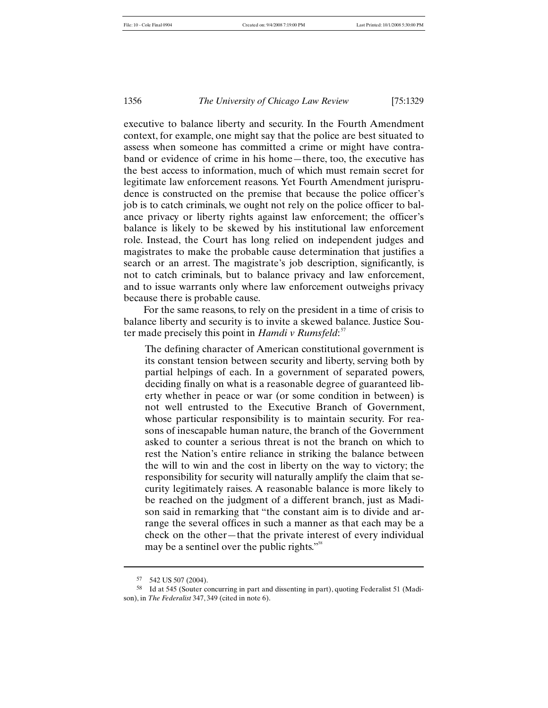1356 *The University of Chicago Law Review* [75:1329

executive to balance liberty and security. In the Fourth Amendment context, for example, one might say that the police are best situated to assess when someone has committed a crime or might have contraband or evidence of crime in his home—there, too, the executive has the best access to information, much of which must remain secret for legitimate law enforcement reasons. Yet Fourth Amendment jurisprudence is constructed on the premise that because the police officer's job is to catch criminals, we ought not rely on the police officer to balance privacy or liberty rights against law enforcement; the officer's balance is likely to be skewed by his institutional law enforcement role. Instead, the Court has long relied on independent judges and magistrates to make the probable cause determination that justifies a search or an arrest. The magistrate's job description, significantly, is not to catch criminals, but to balance privacy and law enforcement, and to issue warrants only where law enforcement outweighs privacy because there is probable cause.

For the same reasons, to rely on the president in a time of crisis to balance liberty and security is to invite a skewed balance. Justice Souter made precisely this point in *Hamdi v Rumsfeld*:<sup>57</sup>

The defining character of American constitutional government is its constant tension between security and liberty, serving both by partial helpings of each. In a government of separated powers, deciding finally on what is a reasonable degree of guaranteed liberty whether in peace or war (or some condition in between) is not well entrusted to the Executive Branch of Government, whose particular responsibility is to maintain security. For reasons of inescapable human nature, the branch of the Government asked to counter a serious threat is not the branch on which to rest the Nation's entire reliance in striking the balance between the will to win and the cost in liberty on the way to victory; the responsibility for security will naturally amplify the claim that security legitimately raises. A reasonable balance is more likely to be reached on the judgment of a different branch, just as Madison said in remarking that "the constant aim is to divide and arrange the several offices in such a manner as that each may be a check on the other—that the private interest of every individual may be a sentinel over the public rights."<sup>58</sup>

<sup>57</sup> 542 US 507 (2004).

<sup>58</sup> Id at 545 (Souter concurring in part and dissenting in part), quoting Federalist 51 (Madison), in *The Federalist* 347, 349 (cited in note 6).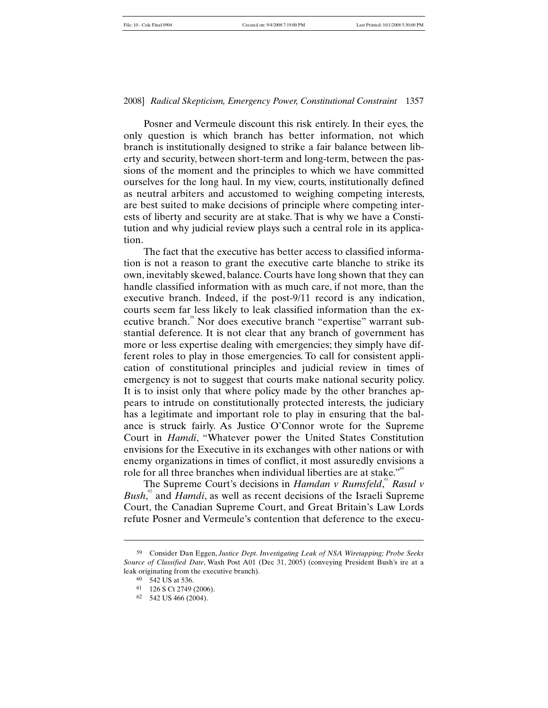Posner and Vermeule discount this risk entirely. In their eyes, the only question is which branch has better information, not which branch is institutionally designed to strike a fair balance between liberty and security, between short-term and long-term, between the passions of the moment and the principles to which we have committed ourselves for the long haul. In my view, courts, institutionally defined as neutral arbiters and accustomed to weighing competing interests, are best suited to make decisions of principle where competing interests of liberty and security are at stake. That is why we have a Constitution and why judicial review plays such a central role in its application.

The fact that the executive has better access to classified information is not a reason to grant the executive carte blanche to strike its own, inevitably skewed, balance. Courts have long shown that they can handle classified information with as much care, if not more, than the executive branch. Indeed, if the post-9/11 record is any indication, courts seem far less likely to leak classified information than the executive branch.<sup>59</sup> Nor does executive branch "expertise" warrant substantial deference. It is not clear that any branch of government has more or less expertise dealing with emergencies; they simply have different roles to play in those emergencies. To call for consistent application of constitutional principles and judicial review in times of emergency is not to suggest that courts make national security policy. It is to insist only that where policy made by the other branches appears to intrude on constitutionally protected interests, the judiciary has a legitimate and important role to play in ensuring that the balance is struck fairly. As Justice O'Connor wrote for the Supreme Court in *Hamdi*, "Whatever power the United States Constitution envisions for the Executive in its exchanges with other nations or with enemy organizations in times of conflict, it most assuredly envisions a role for all three branches when individual liberties are at stake."<sup>60</sup>

The Supreme Court's decisions in *Hamdan v Rumsfeld*, <sup>61</sup> *Rasul v Bush*,<sup>2</sup> and *Hamdi*, as well as recent decisions of the Israeli Supreme Court, the Canadian Supreme Court, and Great Britain's Law Lords refute Posner and Vermeule's contention that deference to the execu-

<sup>59</sup> Consider Dan Eggen, *Justice Dept. Investigating Leak of NSA Wiretapping; Probe Seeks Source of Classified Date*, Wash Post A01 (Dec 31, 2005) (conveying President Bush's ire at a leak originating from the executive branch).

<sup>60</sup> 542 US at 536.

<sup>61</sup> 126 S Ct 2749 (2006).

<sup>62</sup> 542 US 466 (2004).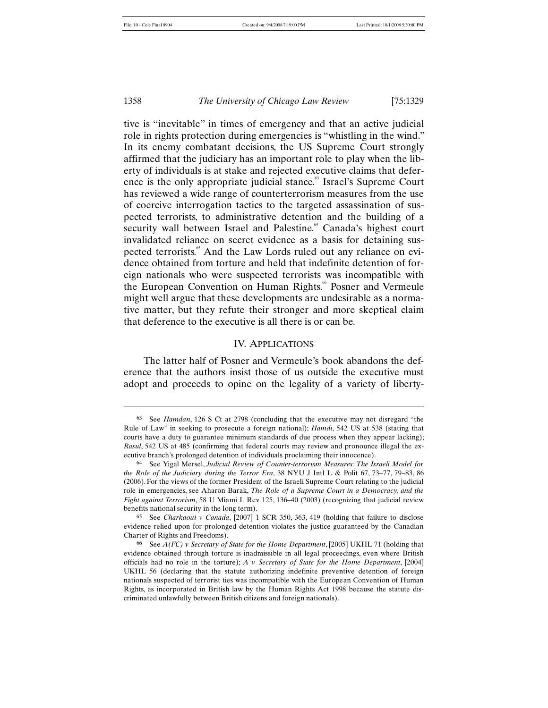1358 *The University of Chicago Law Review* [75:1329

tive is "inevitable" in times of emergency and that an active judicial role in rights protection during emergencies is "whistling in the wind." In its enemy combatant decisions, the US Supreme Court strongly affirmed that the judiciary has an important role to play when the liberty of individuals is at stake and rejected executive claims that deference is the only appropriate judicial stance.<sup>63</sup> Israel's Supreme Court has reviewed a wide range of counterterrorism measures from the use of coercive interrogation tactics to the targeted assassination of suspected terrorists, to administrative detention and the building of a security wall between Israel and Palestine.<sup>64</sup> Canada's highest court invalidated reliance on secret evidence as a basis for detaining suspected terrorists.<sup>65</sup> And the Law Lords ruled out any reliance on evidence obtained from torture and held that indefinite detention of foreign nationals who were suspected terrorists was incompatible with the European Convention on Human Rights.<sup>66</sup> Posner and Vermeule might well argue that these developments are undesirable as a normative matter, but they refute their stronger and more skeptical claim that deference to the executive is all there is or can be.

# IV. APPLICATIONS

The latter half of Posner and Vermeule's book abandons the deference that the authors insist those of us outside the executive must adopt and proceeds to opine on the legality of a variety of liberty-

<sup>63</sup> See *Hamdan*, 126 S Ct at 2798 (concluding that the executive may not disregard "the Rule of Law" in seeking to prosecute a foreign national); *Hamdi*, 542 US at 538 (stating that courts have a duty to guarantee minimum standards of due process when they appear lacking); *Rasul*, 542 US at 485 (confirming that federal courts may review and pronounce illegal the executive branch's prolonged detention of individuals proclaiming their innocence).

<sup>64</sup> See Yigal Mersel, *Judicial Review of Counter-terrorism Measures: The Israeli Model for the Role of the Judiciary during the Terror Era*, 38 NYU J Intl L & Polit 67, 73–77, 79–83, 86 (2006). For the views of the former President of the Israeli Supreme Court relating to the judicial role in emergencies, see Aharon Barak, *The Role of a Supreme Court in a Democracy, and the Fight against Terrorism*, 58 U Miami L Rev 125, 136–40 (2003) (recognizing that judicial review benefits national security in the long term).

<sup>65</sup> See *Charkaoui v Canada*, [2007] 1 SCR 350, 363, 419 (holding that failure to disclose evidence relied upon for prolonged detention violates the justice guaranteed by the Canadian Charter of Rights and Freedoms).

<sup>66</sup> See *A(FC) v Secretary of State for the Home Department*, [2005] UKHL 71 (holding that evidence obtained through torture is inadmissible in all legal proceedings, even where British officials had no role in the torture); *A v Secretary of State for the Home Department*, [2004] UKHL 56 (declaring that the statute authorizing indefinite preventive detention of foreign nationals suspected of terrorist ties was incompatible with the European Convention of Human Rights, as incorporated in British law by the Human Rights Act 1998 because the statute discriminated unlawfully between British citizens and foreign nationals).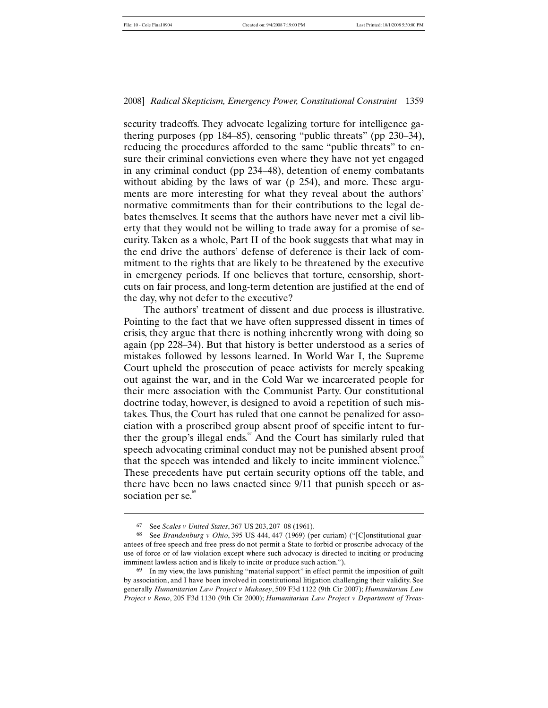security tradeoffs. They advocate legalizing torture for intelligence gathering purposes (pp 184–85), censoring "public threats" (pp 230–34), reducing the procedures afforded to the same "public threats" to ensure their criminal convictions even where they have not yet engaged in any criminal conduct (pp 234–48), detention of enemy combatants without abiding by the laws of war (p 254), and more. These arguments are more interesting for what they reveal about the authors' normative commitments than for their contributions to the legal debates themselves. It seems that the authors have never met a civil liberty that they would not be willing to trade away for a promise of security. Taken as a whole, Part II of the book suggests that what may in the end drive the authors' defense of deference is their lack of commitment to the rights that are likely to be threatened by the executive in emergency periods. If one believes that torture, censorship, shortcuts on fair process, and long-term detention are justified at the end of the day, why not defer to the executive?

The authors' treatment of dissent and due process is illustrative. Pointing to the fact that we have often suppressed dissent in times of crisis, they argue that there is nothing inherently wrong with doing so again (pp 228–34). But that history is better understood as a series of mistakes followed by lessons learned. In World War I, the Supreme Court upheld the prosecution of peace activists for merely speaking out against the war, and in the Cold War we incarcerated people for their mere association with the Communist Party. Our constitutional doctrine today, however, is designed to avoid a repetition of such mistakes. Thus, the Court has ruled that one cannot be penalized for association with a proscribed group absent proof of specific intent to further the group's illegal ends. $67$  And the Court has similarly ruled that speech advocating criminal conduct may not be punished absent proof that the speech was intended and likely to incite imminent violence.<sup>68</sup> These precedents have put certain security options off the table, and there have been no laws enacted since 9/11 that punish speech or association per se.<sup>69</sup>

<sup>67</sup> See *Scales v United States*, 367 US 203, 207–08 (1961).

<sup>68</sup> See *Brandenburg v Ohio*, 395 US 444, 447 (1969) (per curiam) ("[C]onstitutional guarantees of free speech and free press do not permit a State to forbid or proscribe advocacy of the use of force or of law violation except where such advocacy is directed to inciting or producing imminent lawless action and is likely to incite or produce such action.").

<sup>&</sup>lt;sup>69</sup> In my view, the laws punishing "material support" in effect permit the imposition of guilt by association, and I have been involved in constitutional litigation challenging their validity. See generally *Humanitarian Law Project v Mukasey*, 509 F3d 1122 (9th Cir 2007); *Humanitarian Law Project v Reno*, 205 F3d 1130 (9th Cir 2000); *Humanitarian Law Project v Department of Treas-*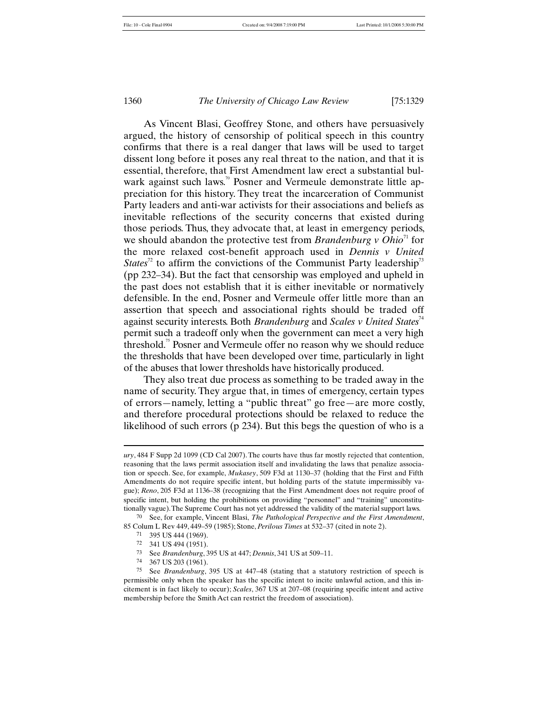#### 1360 *The University of Chicago Law Review* [75:1329

As Vincent Blasi, Geoffrey Stone, and others have persuasively argued, the history of censorship of political speech in this country confirms that there is a real danger that laws will be used to target dissent long before it poses any real threat to the nation, and that it is essential, therefore, that First Amendment law erect a substantial bulwark against such laws.<sup>70</sup> Posner and Vermeule demonstrate little appreciation for this history. They treat the incarceration of Communist Party leaders and anti-war activists for their associations and beliefs as inevitable reflections of the security concerns that existed during those periods. Thus, they advocate that, at least in emergency periods, we should abandon the protective test from *Brandenburg v Ohio*<sup>11</sup> for the more relaxed cost-benefit approach used in *Dennis v United States*<sup>72</sup> to affirm the convictions of the Communist Party leadership<sup>73</sup> (pp 232–34). But the fact that censorship was employed and upheld in the past does not establish that it is either inevitable or normatively defensible. In the end, Posner and Vermeule offer little more than an assertion that speech and associational rights should be traded off against security interests. Both *Brandenburg* and *Scales v United States*<sup>74</sup> permit such a tradeoff only when the government can meet a very high threshold.<sup>75</sup> Posner and Vermeule offer no reason why we should reduce the thresholds that have been developed over time, particularly in light of the abuses that lower thresholds have historically produced.

They also treat due process as something to be traded away in the name of security. They argue that, in times of emergency, certain types of errors—namely, letting a "public threat" go free—are more costly, and therefore procedural protections should be relaxed to reduce the likelihood of such errors (p 234). But this begs the question of who is a

1

*ury*, 484 F Supp 2d 1099 (CD Cal 2007). The courts have thus far mostly rejected that contention, reasoning that the laws permit association itself and invalidating the laws that penalize association or speech. See, for example, *Mukasey*, 509 F3d at 1130–37 (holding that the First and Fifth Amendments do not require specific intent, but holding parts of the statute impermissibly vague); *Reno*, 205 F3d at 1136–38 (recognizing that the First Amendment does not require proof of specific intent, but holding the prohibitions on providing "personnel" and "training" unconstitutionally vague). The Supreme Court has not yet addressed the validity of the material support laws.

<sup>70</sup> See, for example, Vincent Blasi, *The Pathological Perspective and the First Amendment*, 85 Colum L Rev 449, 449–59 (1985); Stone, *Perilous Times* at 532–37 (cited in note 2).

<sup>71</sup> 395 US 444 (1969).

<sup>72</sup> 341 US 494 (1951).

<sup>73</sup> See *Brandenburg*, 395 US at 447; *Dennis*, 341 US at 509–11.

<sup>74</sup> 367 US 203 (1961).

<sup>75</sup> See *Brandenburg*, 395 US at 447–48 (stating that a statutory restriction of speech is permissible only when the speaker has the specific intent to incite unlawful action, and this incitement is in fact likely to occur); *Scales*, 367 US at 207–08 (requiring specific intent and active membership before the Smith Act can restrict the freedom of association).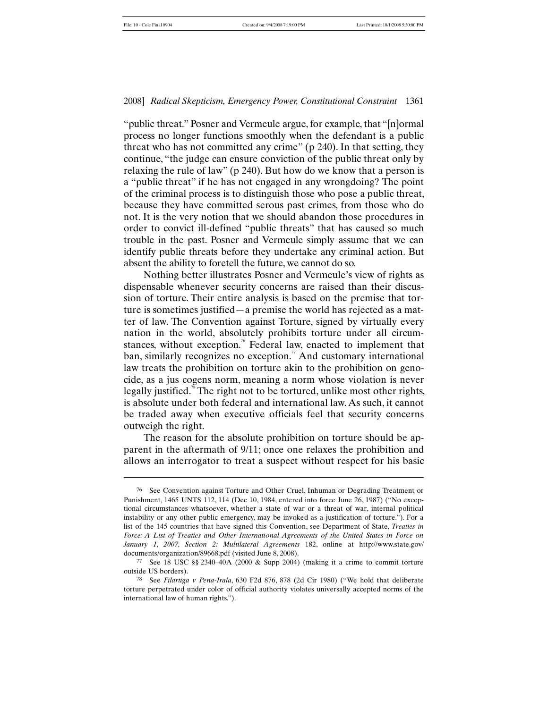2008] *Radical Skepticism, Emergency Power, Constitutional Constraint* 1361

"public threat." Posner and Vermeule argue, for example, that "[n]ormal process no longer functions smoothly when the defendant is a public threat who has not committed any crime" (p 240). In that setting, they continue, "the judge can ensure conviction of the public threat only by relaxing the rule of law" (p 240). But how do we know that a person is a "public threat" if he has not engaged in any wrongdoing? The point of the criminal process is to distinguish those who pose a public threat, because they have committed serous past crimes, from those who do not. It is the very notion that we should abandon those procedures in order to convict ill-defined "public threats" that has caused so much trouble in the past. Posner and Vermeule simply assume that we can identify public threats before they undertake any criminal action. But absent the ability to foretell the future, we cannot do so.

Nothing better illustrates Posner and Vermeule's view of rights as dispensable whenever security concerns are raised than their discussion of torture. Their entire analysis is based on the premise that torture is sometimes justified—a premise the world has rejected as a matter of law. The Convention against Torture, signed by virtually every nation in the world, absolutely prohibits torture under all circumstances, without exception.<sup>76</sup> Federal law, enacted to implement that ban, similarly recognizes no exception.<sup>7</sup> And customary international law treats the prohibition on torture akin to the prohibition on genocide, as a jus cogens norm, meaning a norm whose violation is never legally justified.<sup>78</sup> The right not to be tortured, unlike most other rights, is absolute under both federal and international law. As such, it cannot be traded away when executive officials feel that security concerns outweigh the right.

The reason for the absolute prohibition on torture should be apparent in the aftermath of 9/11; once one relaxes the prohibition and allows an interrogator to treat a suspect without respect for his basic

<sup>76</sup> See Convention against Torture and Other Cruel, Inhuman or Degrading Treatment or Punishment, 1465 UNTS 112, 114 (Dec 10, 1984, entered into force June 26, 1987) ("No exceptional circumstances whatsoever, whether a state of war or a threat of war, internal political instability or any other public emergency, may be invoked as a justification of torture."). For a list of the 145 countries that have signed this Convention, see Department of State, *Treaties in Force: A List of Treaties and Other International Agreements of the United States in Force on January 1, 2007, Section 2: Multilateral Agreements* 182, online at http://www.state.gov/ documents/organization/89668.pdf (visited June 8, 2008).

<sup>77</sup> See 18 USC §§ 2340–40A (2000 & Supp 2004) (making it a crime to commit torture outside US borders).

<sup>78</sup> See *Filartiga v Pena-Irala*, 630 F2d 876, 878 (2d Cir 1980) ("We hold that deliberate torture perpetrated under color of official authority violates universally accepted norms of the international law of human rights.").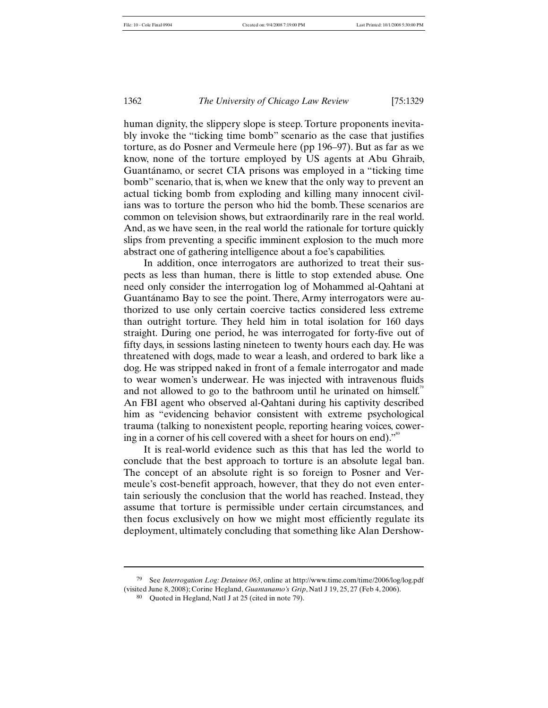1362 *The University of Chicago Law Review* [75:1329

human dignity, the slippery slope is steep. Torture proponents inevitably invoke the "ticking time bomb" scenario as the case that justifies torture, as do Posner and Vermeule here (pp 196–97). But as far as we know, none of the torture employed by US agents at Abu Ghraib, Guantánamo, or secret CIA prisons was employed in a "ticking time bomb" scenario, that is, when we knew that the only way to prevent an actual ticking bomb from exploding and killing many innocent civilians was to torture the person who hid the bomb. These scenarios are common on television shows, but extraordinarily rare in the real world. And, as we have seen, in the real world the rationale for torture quickly slips from preventing a specific imminent explosion to the much more abstract one of gathering intelligence about a foe's capabilities.

In addition, once interrogators are authorized to treat their suspects as less than human, there is little to stop extended abuse. One need only consider the interrogation log of Mohammed al-Qahtani at Guantánamo Bay to see the point. There, Army interrogators were authorized to use only certain coercive tactics considered less extreme than outright torture. They held him in total isolation for 160 days straight. During one period, he was interrogated for forty-five out of fifty days, in sessions lasting nineteen to twenty hours each day. He was threatened with dogs, made to wear a leash, and ordered to bark like a dog. He was stripped naked in front of a female interrogator and made to wear women's underwear. He was injected with intravenous fluids and not allowed to go to the bathroom until he urinated on himself.<sup>79</sup> An FBI agent who observed al-Qahtani during his captivity described him as "evidencing behavior consistent with extreme psychological trauma (talking to nonexistent people, reporting hearing voices, cowering in a corner of his cell covered with a sheet for hours on end)."<sup>80</sup>

It is real-world evidence such as this that has led the world to conclude that the best approach to torture is an absolute legal ban. The concept of an absolute right is so foreign to Posner and Vermeule's cost-benefit approach, however, that they do not even entertain seriously the conclusion that the world has reached. Instead, they assume that torture is permissible under certain circumstances, and then focus exclusively on how we might most efficiently regulate its deployment, ultimately concluding that something like Alan Dershow-

79 See *Interrogation Log: Detainee 063*, online at http://www.time.com/time/2006/log/log.pdf (visited June 8, 2008); Corine Hegland, *Guantanamo's Grip*, Natl J 19, 25, 27 (Feb 4, 2006).

80 Quoted in Hegland, Natl J at 25 (cited in note 79).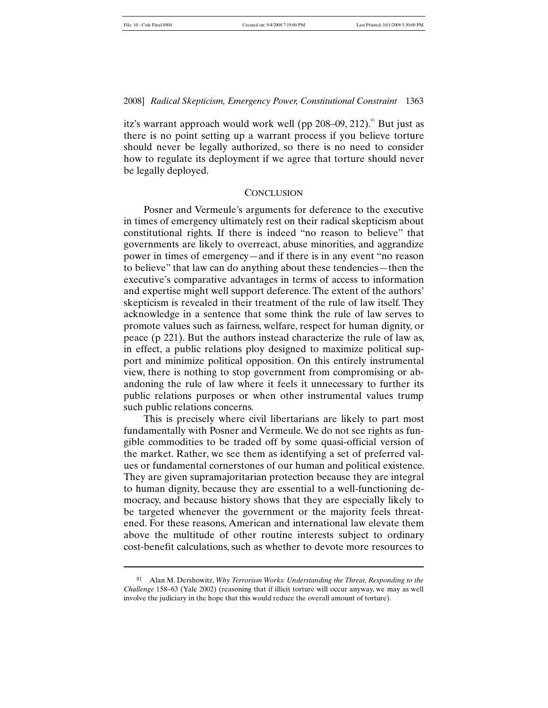2008] *Radical Skepticism, Emergency Power, Constitutional Constraint* 1363

itz's warrant approach would work well (pp  $208-09$ ,  $212$ ).<sup>81</sup> But just as there is no point setting up a warrant process if you believe torture should never be legally authorized, so there is no need to consider how to regulate its deployment if we agree that torture should never be legally deployed.

## **CONCLUSION**

Posner and Vermeule's arguments for deference to the executive in times of emergency ultimately rest on their radical skepticism about constitutional rights. If there is indeed "no reason to believe" that governments are likely to overreact, abuse minorities, and aggrandize power in times of emergency—and if there is in any event "no reason to believe" that law can do anything about these tendencies—then the executive's comparative advantages in terms of access to information and expertise might well support deference. The extent of the authors' skepticism is revealed in their treatment of the rule of law itself. They acknowledge in a sentence that some think the rule of law serves to promote values such as fairness, welfare, respect for human dignity, or peace (p 221). But the authors instead characterize the rule of law as, in effect, a public relations ploy designed to maximize political support and minimize political opposition. On this entirely instrumental view, there is nothing to stop government from compromising or abandoning the rule of law where it feels it unnecessary to further its public relations purposes or when other instrumental values trump such public relations concerns.

This is precisely where civil libertarians are likely to part most fundamentally with Posner and Vermeule. We do not see rights as fungible commodities to be traded off by some quasi-official version of the market. Rather, we see them as identifying a set of preferred values or fundamental cornerstones of our human and political existence. They are given supramajoritarian protection because they are integral to human dignity, because they are essential to a well-functioning democracy, and because history shows that they are especially likely to be targeted whenever the government or the majority feels threatened. For these reasons, American and international law elevate them above the multitude of other routine interests subject to ordinary cost-benefit calculations, such as whether to devote more resources to

<sup>81</sup> Alan M. Dershowitz, *Why Terrorism Works: Understanding the Threat, Responding to the Challenge* 158–63 (Yale 2002) (reasoning that if illicit torture will occur anyway, we may as well involve the judiciary in the hope that this would reduce the overall amount of torture).